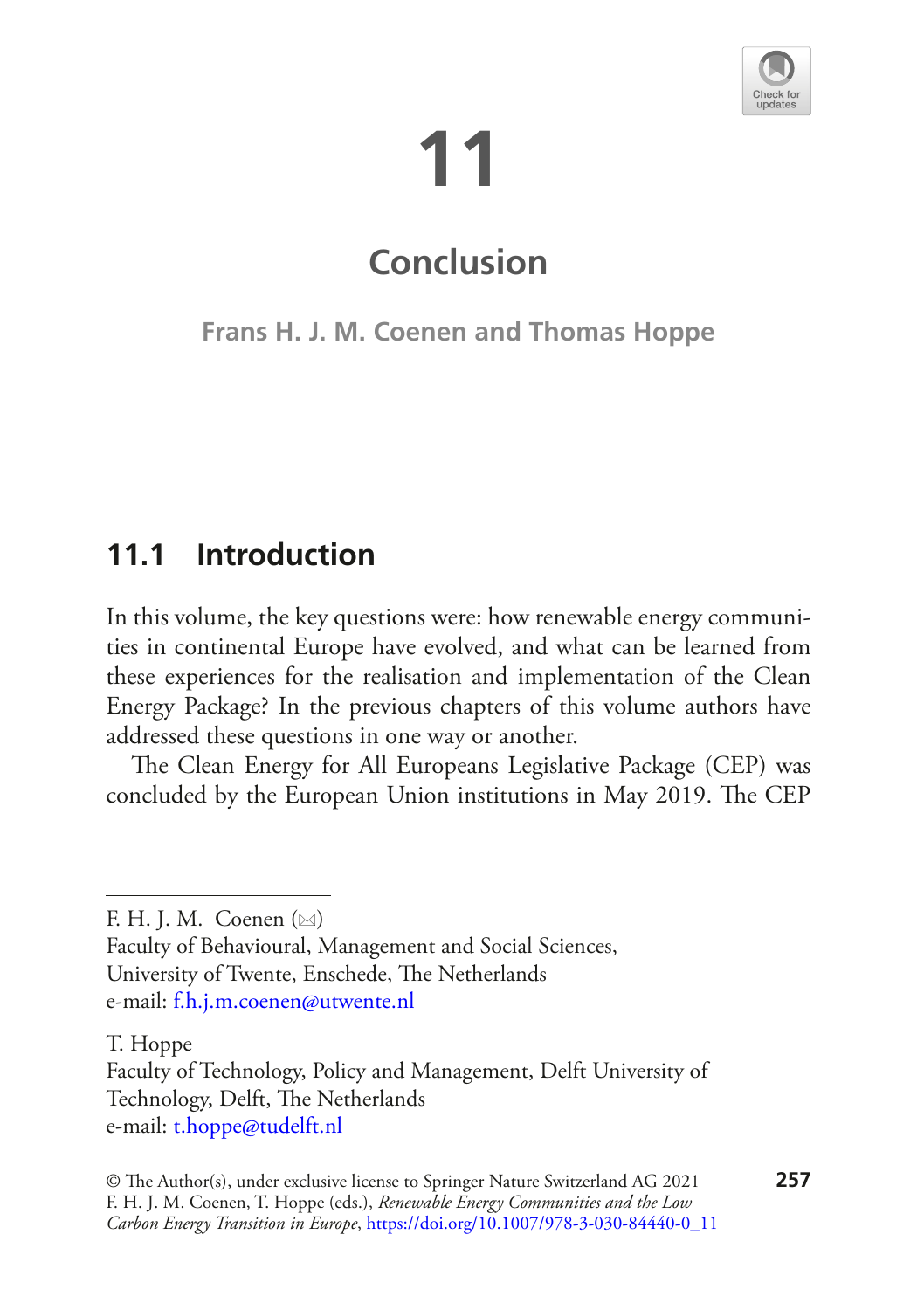# **11**



## **Conclusion**

**Frans H. J. M. Coenen and Thomas Hoppe**

### **11.1 Introduction**

In this volume, the key questions were: how renewable energy communities in continental Europe have evolved, and what can be learned from these experiences for the realisation and implementation of the Clean Energy Package? In the previous chapters of this volume authors have addressed these questions in one way or another.

The Clean Energy for All Europeans Legislative Package (CEP) was concluded by the European Union institutions in May 2019. The CEP

T. Hoppe

F. H. J. M. Coenen  $(\boxtimes)$ 

Faculty of Behavioural, Management and Social Sciences, University of Twente, Enschede, The Netherlands e-mail[: f.h.j.m.coenen@utwente.nl](mailto:f.h.j.m.coenen@utwente.nl)

Faculty of Technology, Policy and Management, Delft University of Technology, Delft, The Netherlands e-mail[: t.hoppe@tudelft.nl](mailto:t.hoppe@tudelft.nl)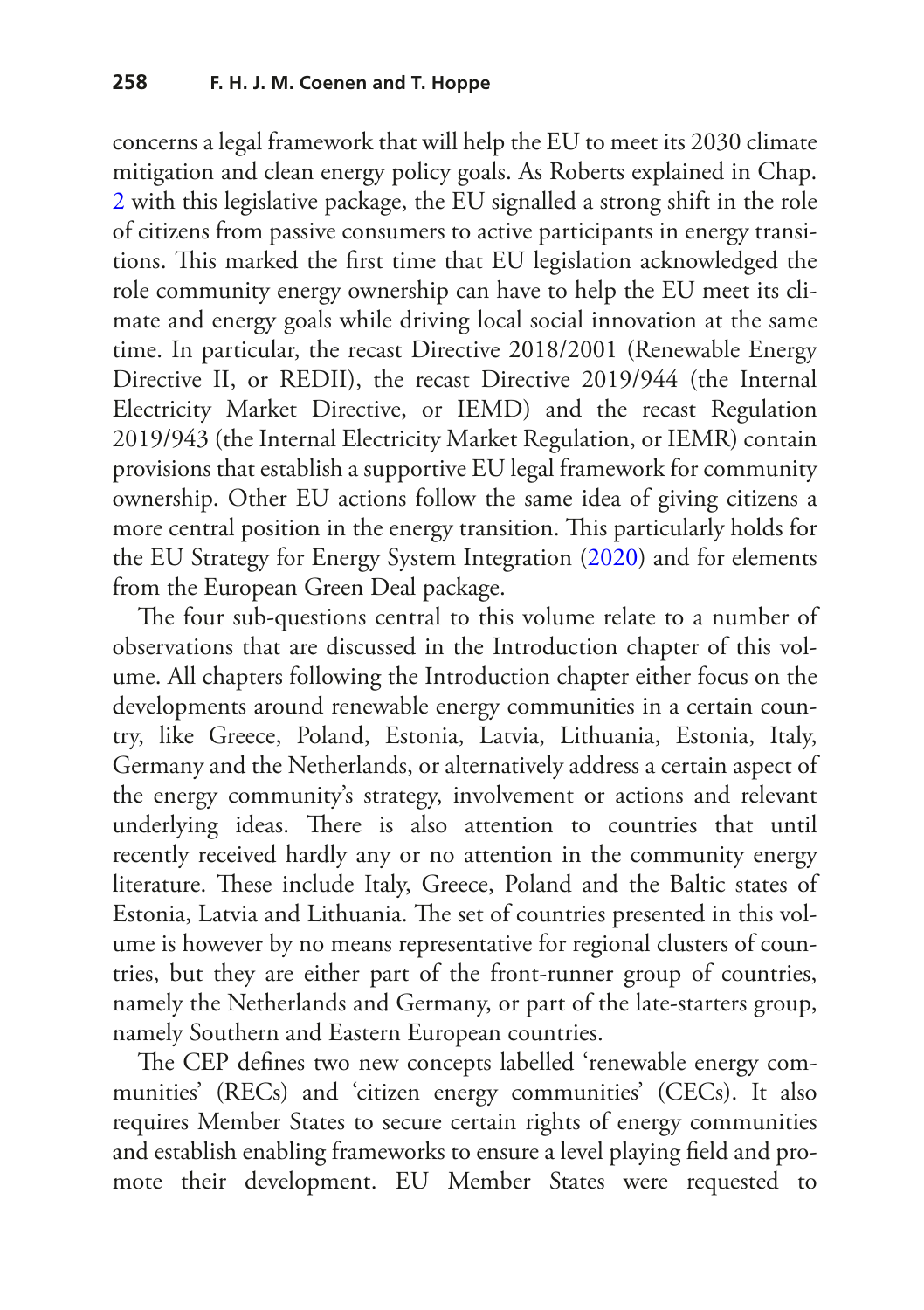concerns a legal framework that will help the EU to meet its 2030 climate mitigation and clean energy policy goals. As Roberts explained in Chap. [2](https://doi.org/10.1007/978-3-030-84440-0_2) with this legislative package, the EU signalled a strong shift in the role of citizens from passive consumers to active participants in energy transitions. This marked the first time that EU legislation acknowledged the role community energy ownership can have to help the EU meet its climate and energy goals while driving local social innovation at the same time. In particular, the recast Directive 2018/2001 (Renewable Energy Directive II, or REDII), the recast Directive 2019/944 (the Internal Electricity Market Directive, or IEMD) and the recast Regulation 2019/943 (the Internal Electricity Market Regulation, or IEMR) contain provisions that establish a supportive EU legal framework for community ownership. Other EU actions follow the same idea of giving citizens a more central position in the energy transition. This particularly holds for the EU Strategy for Energy System Integration ([2020\)](#page-24-0) and for elements from the European Green Deal package.

The four sub-questions central to this volume relate to a number of observations that are discussed in the Introduction chapter of this volume. All chapters following the Introduction chapter either focus on the developments around renewable energy communities in a certain country, like Greece, Poland, Estonia, Latvia, Lithuania, Estonia, Italy, Germany and the Netherlands, or alternatively address a certain aspect of the energy community's strategy, involvement or actions and relevant underlying ideas. There is also attention to countries that until recently received hardly any or no attention in the community energy literature. These include Italy, Greece, Poland and the Baltic states of Estonia, Latvia and Lithuania. The set of countries presented in this volume is however by no means representative for regional clusters of countries, but they are either part of the front-runner group of countries, namely the Netherlands and Germany, or part of the late-starters group, namely Southern and Eastern European countries.

The CEP defines two new concepts labelled 'renewable energy communities' (RECs) and 'citizen energy communities' (CECs). It also requires Member States to secure certain rights of energy communities and establish enabling frameworks to ensure a level playing feld and promote their development. EU Member States were requested to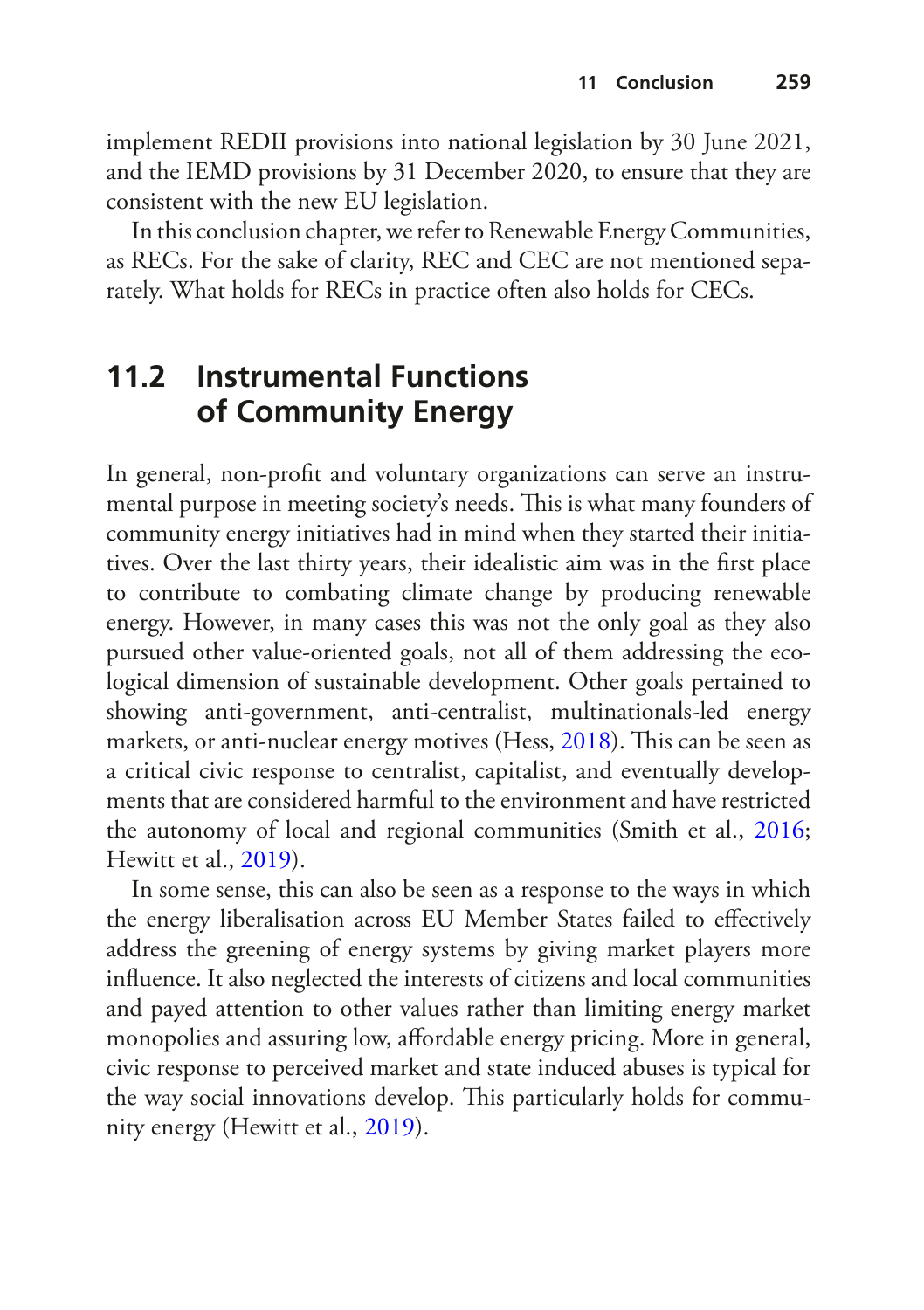implement REDII provisions into national legislation by 30 June 2021, and the IEMD provisions by 31 December 2020, to ensure that they are consistent with the new EU legislation.

In this conclusion chapter, we refer to Renewable Energy Communities, as RECs. For the sake of clarity, REC and CEC are not mentioned separately. What holds for RECs in practice often also holds for CECs.

#### **11.2 Instrumental Functions of Community Energy**

In general, non-proft and voluntary organizations can serve an instrumental purpose in meeting society's needs. This is what many founders of community energy initiatives had in mind when they started their initiatives. Over the last thirty years, their idealistic aim was in the frst place to contribute to combating climate change by producing renewable energy. However, in many cases this was not the only goal as they also pursued other value-oriented goals, not all of them addressing the ecological dimension of sustainable development. Other goals pertained to showing anti-government, anti-centralist, multinationals-led energy markets, or anti-nuclear energy motives (Hess, [2018\)](#page-24-1). This can be seen as a critical civic response to centralist, capitalist, and eventually developments that are considered harmful to the environment and have restricted the autonomy of local and regional communities (Smith et al., [2016;](#page-26-0) Hewitt et al., [2019](#page-24-2)).

In some sense, this can also be seen as a response to the ways in which the energy liberalisation across EU Member States failed to efectively address the greening of energy systems by giving market players more infuence. It also neglected the interests of citizens and local communities and payed attention to other values rather than limiting energy market monopolies and assuring low, afordable energy pricing. More in general, civic response to perceived market and state induced abuses is typical for the way social innovations develop. This particularly holds for community energy (Hewitt et al., [2019\)](#page-24-2).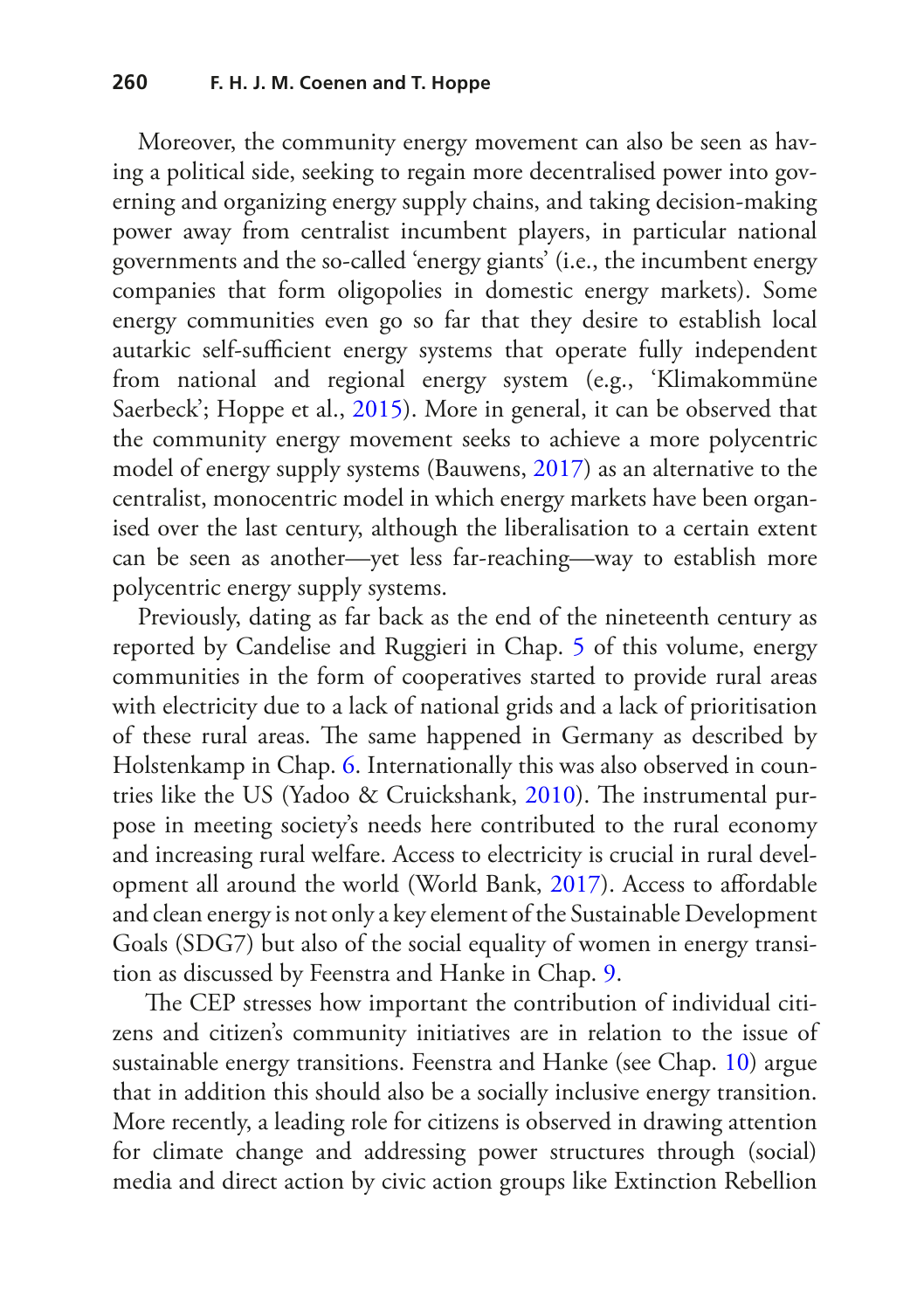Moreover, the community energy movement can also be seen as having a political side, seeking to regain more decentralised power into governing and organizing energy supply chains, and taking decision-making power away from centralist incumbent players, in particular national governments and the so-called 'energy giants' (i.e., the incumbent energy companies that form oligopolies in domestic energy markets). Some energy communities even go so far that they desire to establish local autarkic self-sufficient energy systems that operate fully independent from national and regional energy system (e.g., 'Klimakommüne Saerbeck'; Hoppe et al., [2015](#page-24-3)). More in general, it can be observed that the community energy movement seeks to achieve a more polycentric model of energy supply systems (Bauwens, [2017](#page-23-0)) as an alternative to the centralist, monocentric model in which energy markets have been organised over the last century, although the liberalisation to a certain extent can be seen as another—yet less far-reaching—way to establish more polycentric energy supply systems.

Previously, dating as far back as the end of the nineteenth century as reported by Candelise and Ruggieri in Chap. [5](https://doi.org/10.1007/978-3-030-84440-0_5) of this volume, energy communities in the form of cooperatives started to provide rural areas with electricity due to a lack of national grids and a lack of prioritisation of these rural areas. The same happened in Germany as described by Holstenkamp in Chap. [6](https://doi.org/10.1007/978-3-030-84440-0_6). Internationally this was also observed in coun-tries like the US (Yadoo & Cruickshank, [2010\)](#page-27-0). The instrumental purpose in meeting society's needs here contributed to the rural economy and increasing rural welfare. Access to electricity is crucial in rural development all around the world (World Bank, [2017\)](#page-27-1). Access to afordable and clean energy is not only a key element of the Sustainable Development Goals (SDG7) but also of the social equality of women in energy transition as discussed by Feenstra and Hanke in Chap. [9.](https://doi.org/10.1007/978-3-030-84440-0_9)

The CEP stresses how important the contribution of individual citizens and citizen's community initiatives are in relation to the issue of sustainable energy transitions. Feenstra and Hanke (see Chap. [10\)](https://doi.org/10.1007/978-3-030-84440-0_10) argue that in addition this should also be a socially inclusive energy transition. More recently, a leading role for citizens is observed in drawing attention for climate change and addressing power structures through (social) media and direct action by civic action groups like Extinction Rebellion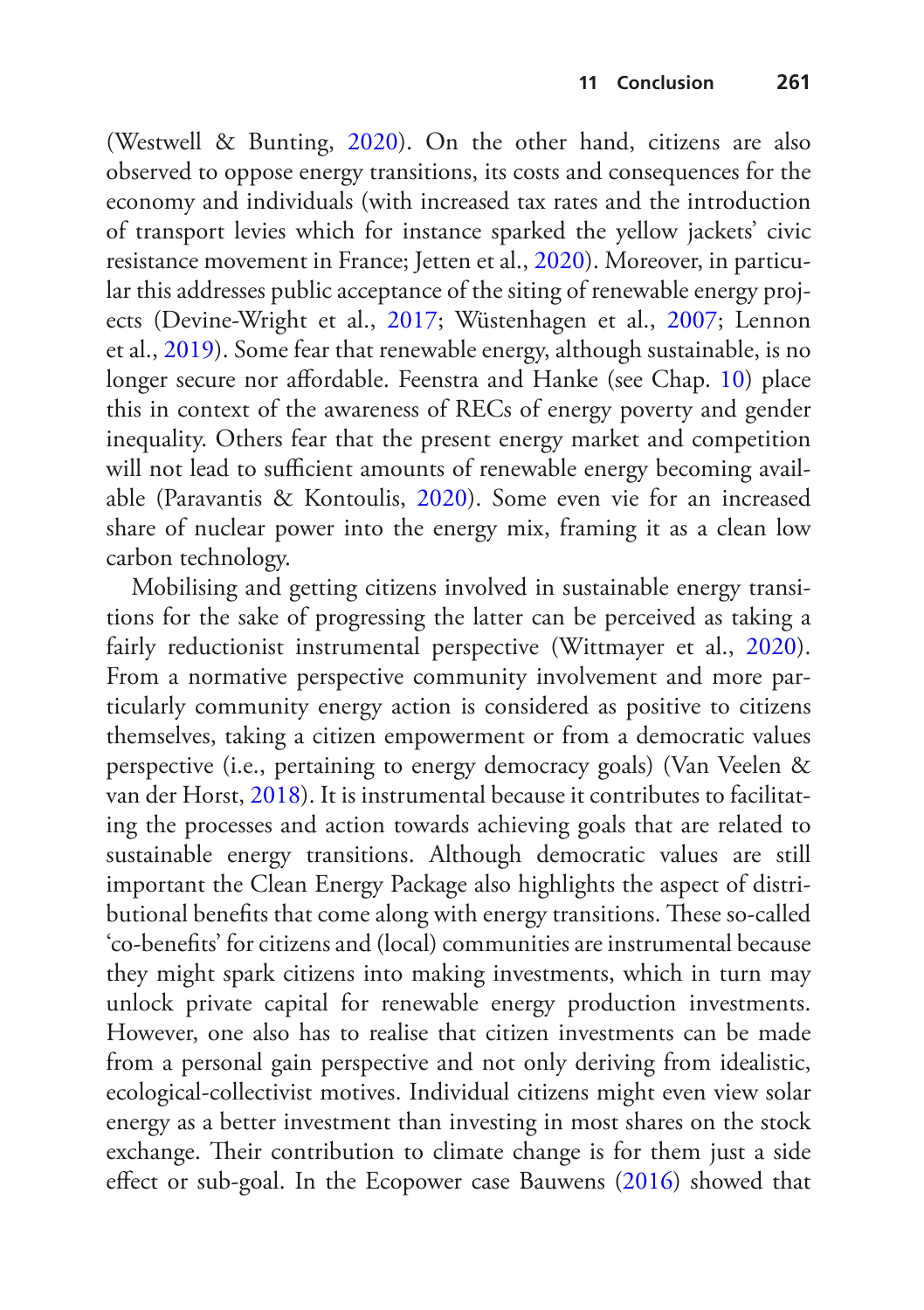(Westwell & Bunting, [2020\)](#page-26-1). On the other hand, citizens are also observed to oppose energy transitions, its costs and consequences for the economy and individuals (with increased tax rates and the introduction of transport levies which for instance sparked the yellow jackets' civic resistance movement in France; Jetten et al., [2020\)](#page-25-0). Moreover, in particular this addresses public acceptance of the siting of renewable energy projects (Devine-Wright et al., [2017;](#page-23-1) Wüstenhagen et al., [2007](#page-27-2); Lennon et al., [2019](#page-25-1)). Some fear that renewable energy, although sustainable, is no longer secure nor afordable. Feenstra and Hanke (see Chap. [10](https://doi.org/10.1007/978-3-030-84440-0_10)) place this in context of the awareness of RECs of energy poverty and gender inequality. Others fear that the present energy market and competition will not lead to sufficient amounts of renewable energy becoming available (Paravantis & Kontoulis, [2020](#page-25-2)). Some even vie for an increased share of nuclear power into the energy mix, framing it as a clean low carbon technology.

Mobilising and getting citizens involved in sustainable energy transitions for the sake of progressing the latter can be perceived as taking a fairly reductionist instrumental perspective (Wittmayer et al., [2020\)](#page-26-2). From a normative perspective community involvement and more particularly community energy action is considered as positive to citizens themselves, taking a citizen empowerment or from a democratic values perspective (i.e., pertaining to energy democracy goals) (Van Veelen & van der Horst, [2018\)](#page-26-3). It is instrumental because it contributes to facilitating the processes and action towards achieving goals that are related to sustainable energy transitions. Although democratic values are still important the Clean Energy Package also highlights the aspect of distributional benefits that come along with energy transitions. These so-called 'co-benefts' for citizens and (local) communities are instrumental because they might spark citizens into making investments, which in turn may unlock private capital for renewable energy production investments. However, one also has to realise that citizen investments can be made from a personal gain perspective and not only deriving from idealistic, ecological-collectivist motives. Individual citizens might even view solar energy as a better investment than investing in most shares on the stock exchange. Their contribution to climate change is for them just a side efect or sub-goal. In the Ecopower case Bauwens ([2016\)](#page-23-2) showed that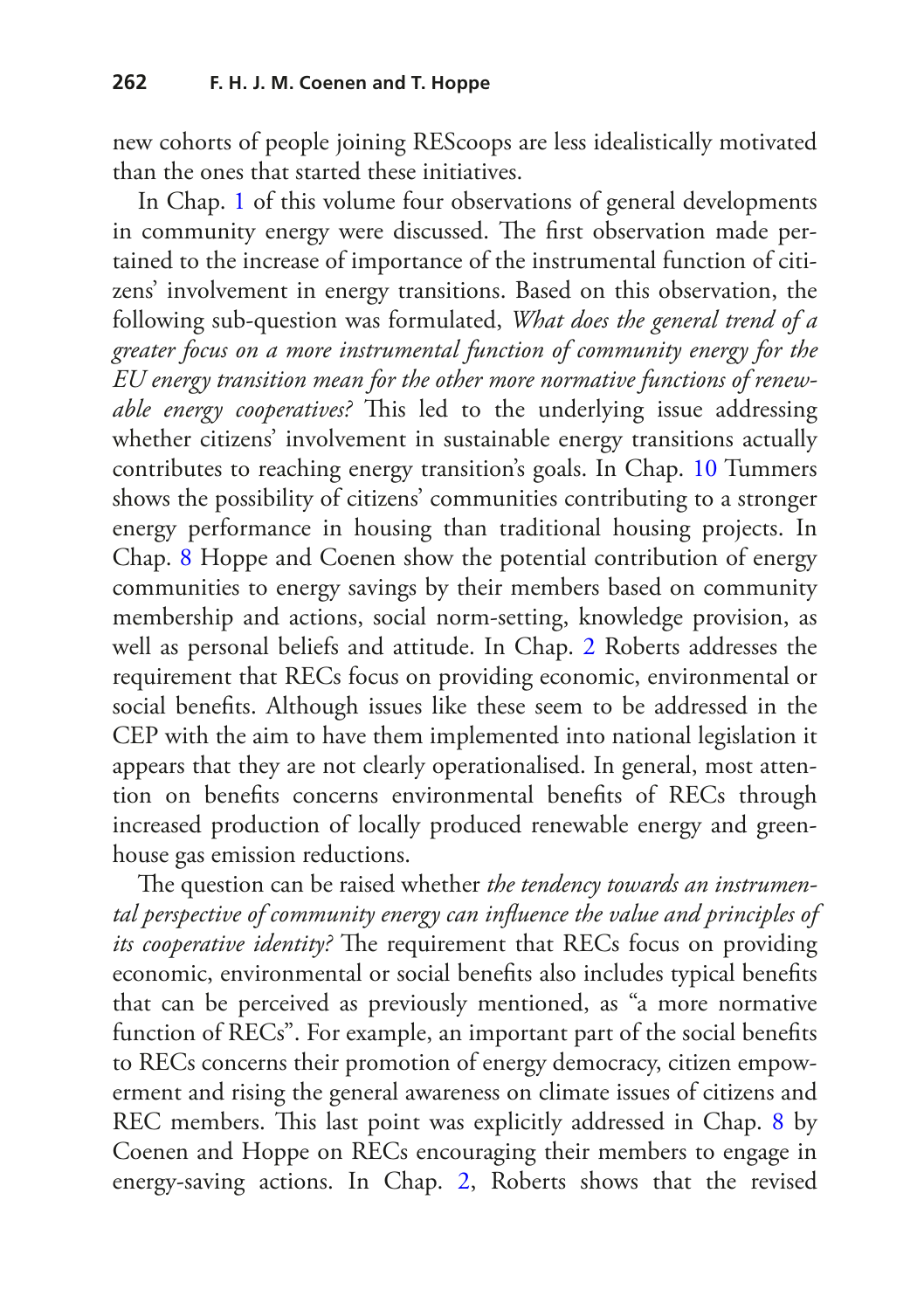new cohorts of people joining REScoops are less idealistically motivated than the ones that started these initiatives.

In Chap. [1](https://doi.org/10.1007/978-3-030-84440-0_1) of this volume four observations of general developments in community energy were discussed. The first observation made pertained to the increase of importance of the instrumental function of citizens' involvement in energy transitions. Based on this observation, the following sub-question was formulated, *What does the general trend of a greater focus on a more instrumental function of community energy for the EU energy transition mean for the other more normative functions of renewable energy cooperatives?* This led to the underlying issue addressing whether citizens' involvement in sustainable energy transitions actually contributes to reaching energy transition's goals. In Chap. [10](https://doi.org/10.1007/978-3-030-84440-0_10) Tummers shows the possibility of citizens' communities contributing to a stronger energy performance in housing than traditional housing projects. In Chap. [8](https://doi.org/10.1007/978-3-030-84440-0_8) Hoppe and Coenen show the potential contribution of energy communities to energy savings by their members based on community membership and actions, social norm-setting, knowledge provision, as well as personal beliefs and attitude. In Chap. [2](https://doi.org/10.1007/978-3-030-84440-0_2) Roberts addresses the requirement that RECs focus on providing economic, environmental or social benefts. Although issues like these seem to be addressed in the CEP with the aim to have them implemented into national legislation it appears that they are not clearly operationalised. In general, most attention on benefts concerns environmental benefts of RECs through increased production of locally produced renewable energy and greenhouse gas emission reductions.

The question can be raised whether *the tendency towards an instrumental perspective of community energy can infuence the value and principles of its cooperative identity?* The requirement that RECs focus on providing economic, environmental or social benefts also includes typical benefts that can be perceived as previously mentioned, as "a more normative function of RECs". For example, an important part of the social benefts to RECs concerns their promotion of energy democracy, citizen empowerment and rising the general awareness on climate issues of citizens and REC members. This last point was explicitly addressed in Chap. [8](https://doi.org/10.1007/978-3-030-84440-0_8) by Coenen and Hoppe on RECs encouraging their members to engage in energy-saving actions. In Chap. [2,](https://doi.org/10.1007/978-3-030-84440-0_2) Roberts shows that the revised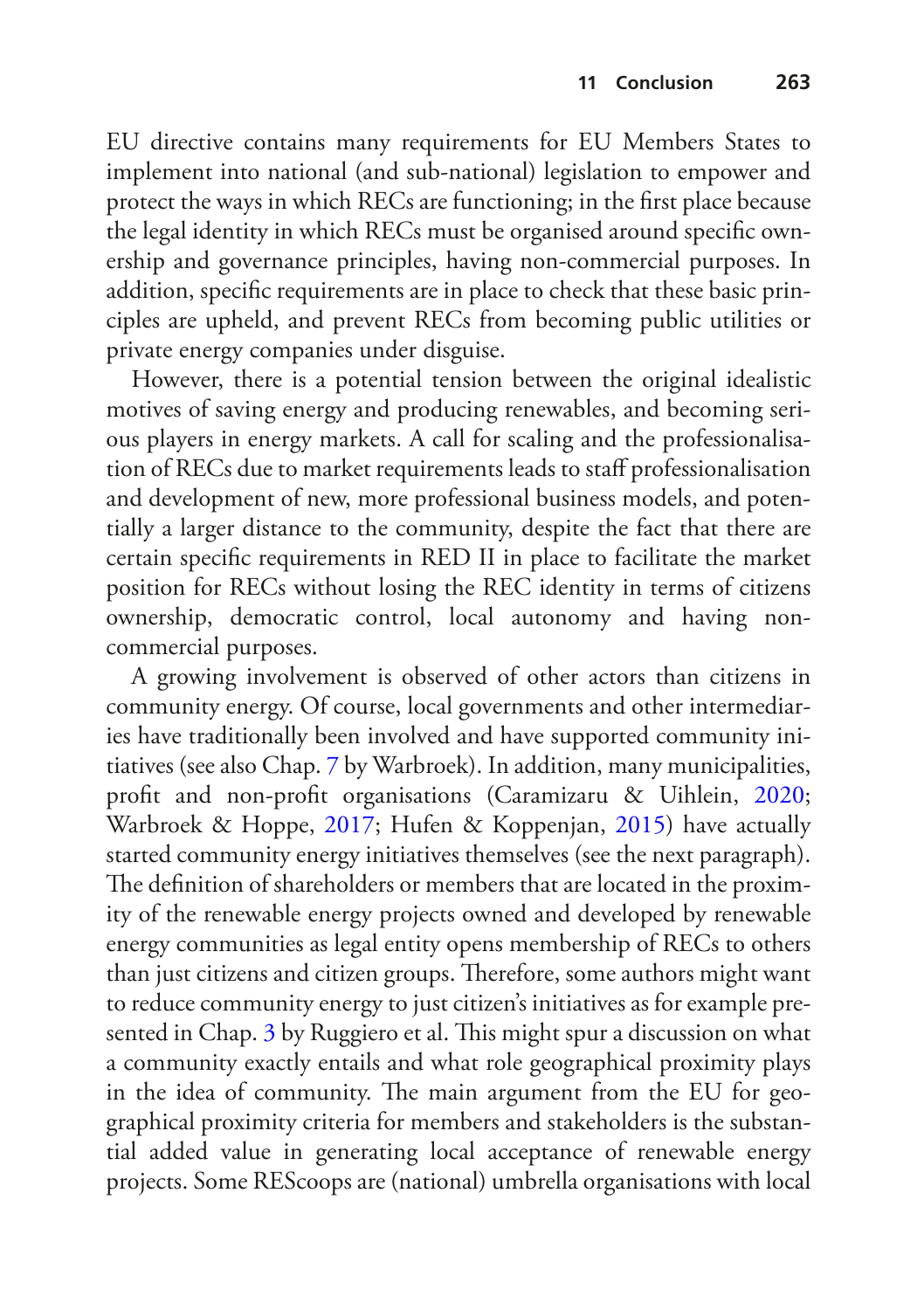EU directive contains many requirements for EU Members States to implement into national (and sub-national) legislation to empower and protect the ways in which RECs are functioning; in the frst place because the legal identity in which RECs must be organised around specifc ownership and governance principles, having non-commercial purposes. In addition, specifc requirements are in place to check that these basic principles are upheld, and prevent RECs from becoming public utilities or private energy companies under disguise.

However, there is a potential tension between the original idealistic motives of saving energy and producing renewables, and becoming serious players in energy markets. A call for scaling and the professionalisation of RECs due to market requirements leads to staf professionalisation and development of new, more professional business models, and potentially a larger distance to the community, despite the fact that there are certain specifc requirements in RED II in place to facilitate the market position for RECs without losing the REC identity in terms of citizens ownership, democratic control, local autonomy and having noncommercial purposes.

A growing involvement is observed of other actors than citizens in community energy. Of course, local governments and other intermediaries have traditionally been involved and have supported community initiatives (see also Chap. [7](https://doi.org/10.1007/978-3-030-84440-0_7) by Warbroek). In addition, many municipalities, proft and non-proft organisations (Caramizaru & Uihlein, [2020;](#page-23-3) Warbroek & Hoppe, [2017](#page-26-4); Hufen & Koppenjan, [2015\)](#page-24-4) have actually started community energy initiatives themselves (see the next paragraph). The definition of shareholders or members that are located in the proximity of the renewable energy projects owned and developed by renewable energy communities as legal entity opens membership of RECs to others than just citizens and citizen groups. Therefore, some authors might want to reduce community energy to just citizen's initiatives as for example pre-sented in Chap. [3](https://doi.org/10.1007/978-3-030-84440-0_3) by Ruggiero et al. This might spur a discussion on what a community exactly entails and what role geographical proximity plays in the idea of community. The main argument from the EU for geographical proximity criteria for members and stakeholders is the substantial added value in generating local acceptance of renewable energy projects. Some REScoops are (national) umbrella organisations with local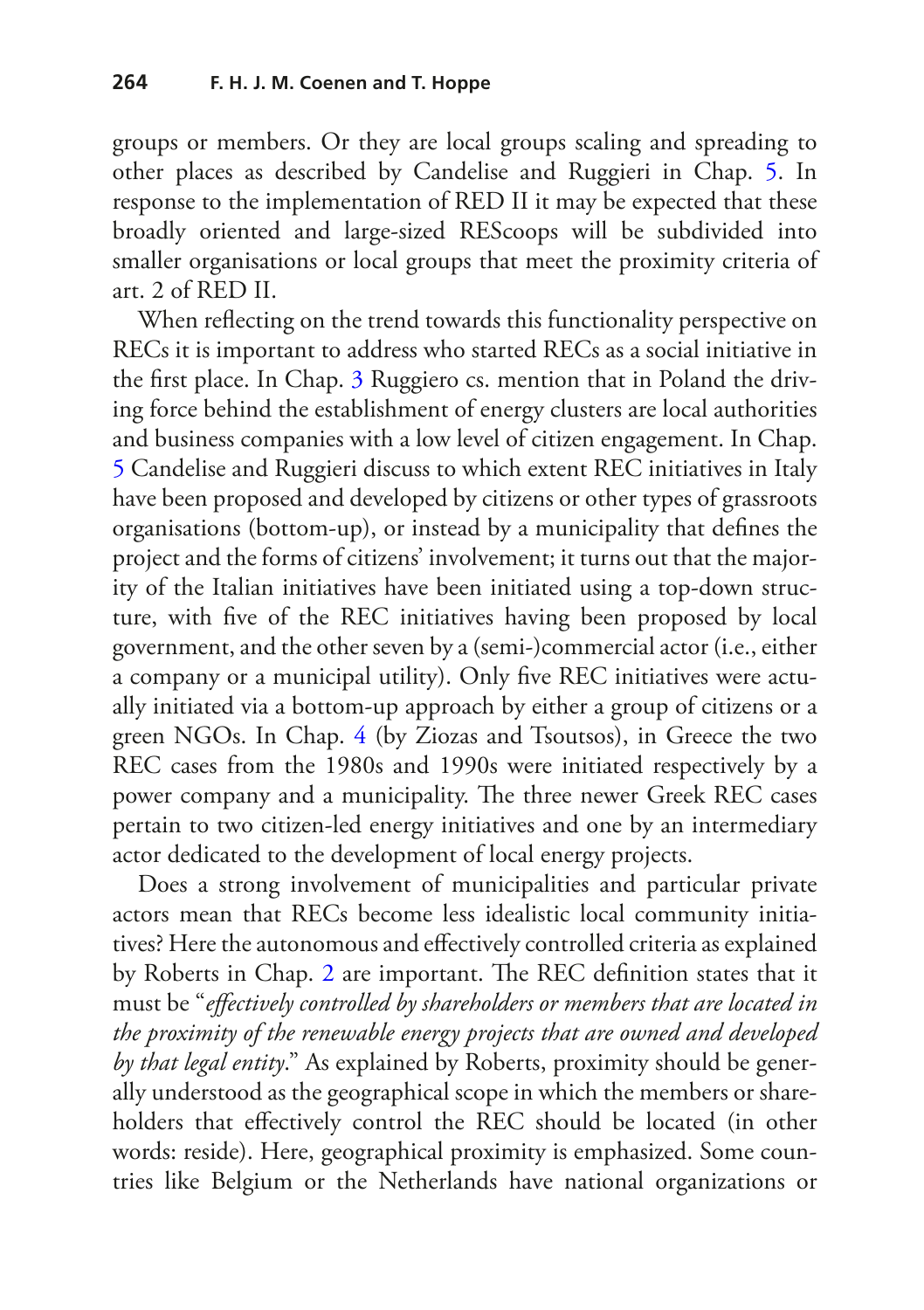groups or members. Or they are local groups scaling and spreading to other places as described by Candelise and Ruggieri in Chap. [5](https://doi.org/10.1007/978-3-030-84440-0_5). In response to the implementation of RED II it may be expected that these broadly oriented and large-sized REScoops will be subdivided into smaller organisations or local groups that meet the proximity criteria of art. 2 of RED II.

When refecting on the trend towards this functionality perspective on RECs it is important to address who started RECs as a social initiative in the frst place. In Chap. [3](https://doi.org/10.1007/978-3-030-84440-0_3) Ruggiero cs. mention that in Poland the driving force behind the establishment of energy clusters are local authorities and business companies with a low level of citizen engagement. In Chap. [5](https://doi.org/10.1007/978-3-030-84440-0_5) Candelise and Ruggieri discuss to which extent REC initiatives in Italy have been proposed and developed by citizens or other types of grassroots organisations (bottom-up), or instead by a municipality that defnes the project and the forms of citizens' involvement; it turns out that the majority of the Italian initiatives have been initiated using a top-down structure, with fve of the REC initiatives having been proposed by local government, and the other seven by a (semi-)commercial actor (i.e., either a company or a municipal utility). Only fve REC initiatives were actually initiated via a bottom-up approach by either a group of citizens or a green NGOs. In Chap. [4](https://doi.org/10.1007/978-3-030-84440-0_4) (by Ziozas and Tsoutsos), in Greece the two REC cases from the 1980s and 1990s were initiated respectively by a power company and a municipality. The three newer Greek REC cases pertain to two citizen-led energy initiatives and one by an intermediary actor dedicated to the development of local energy projects.

Does a strong involvement of municipalities and particular private actors mean that RECs become less idealistic local community initiatives? Here the autonomous and efectively controlled criteria as explained by Roberts in Chap. [2](https://doi.org/10.1007/978-3-030-84440-0_2) are important. The REC definition states that it must be "*efectively controlled by shareholders or members that are located in the proximity of the renewable energy projects that are owned and developed by that legal entity*." As explained by Roberts, proximity should be generally understood as the geographical scope in which the members or shareholders that effectively control the REC should be located (in other words: reside). Here, geographical proximity is emphasized. Some countries like Belgium or the Netherlands have national organizations or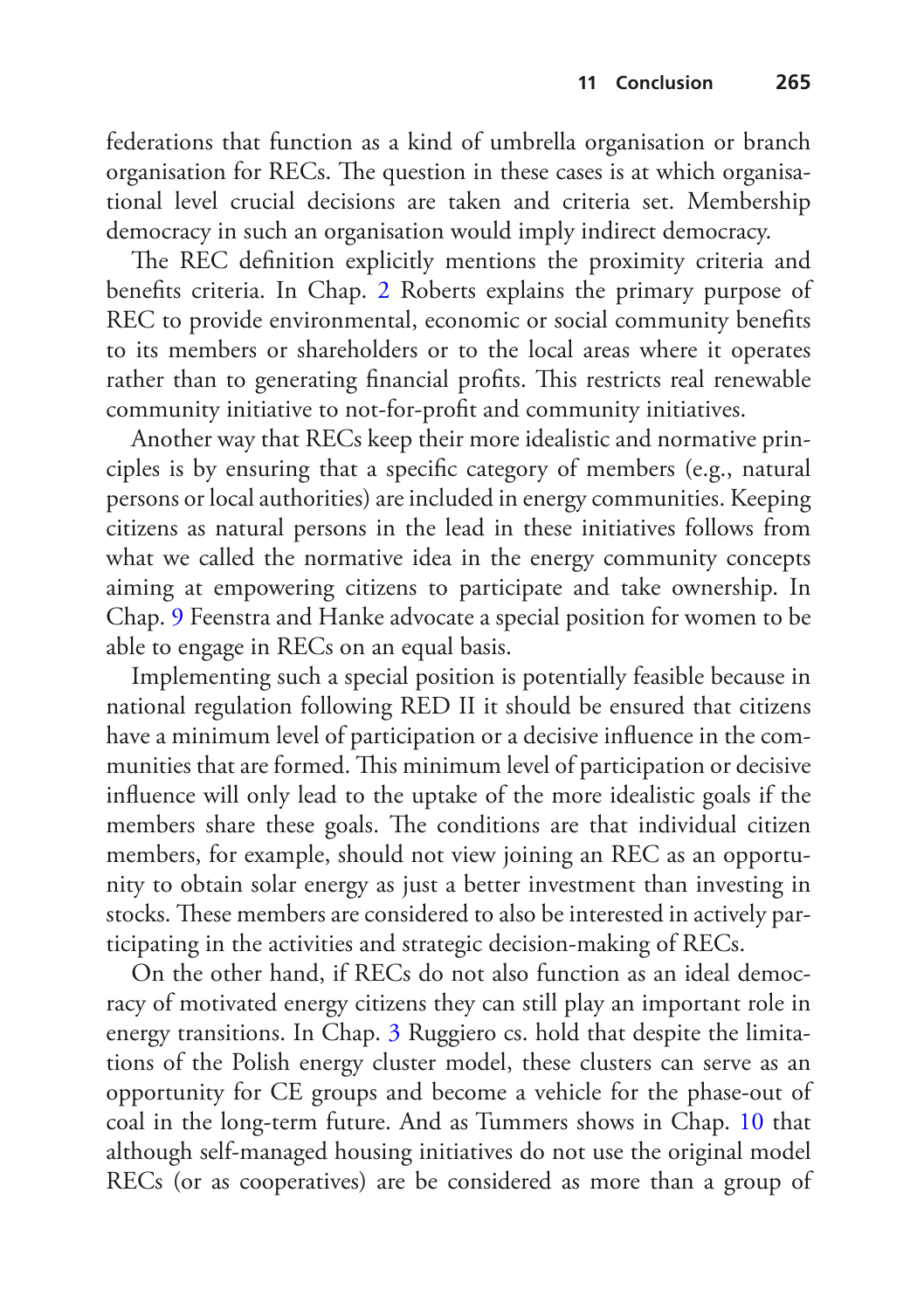federations that function as a kind of umbrella organisation or branch organisation for RECs. The question in these cases is at which organisational level crucial decisions are taken and criteria set. Membership democracy in such an organisation would imply indirect democracy.

The REC definition explicitly mentions the proximity criteria and benefts criteria. In Chap. [2](https://doi.org/10.1007/978-3-030-84440-0_2) Roberts explains the primary purpose of REC to provide environmental, economic or social community benefts to its members or shareholders or to the local areas where it operates rather than to generating financial profits. This restricts real renewable community initiative to not-for-proft and community initiatives.

Another way that RECs keep their more idealistic and normative principles is by ensuring that a specifc category of members (e.g., natural persons or local authorities) are included in energy communities. Keeping citizens as natural persons in the lead in these initiatives follows from what we called the normative idea in the energy community concepts aiming at empowering citizens to participate and take ownership. In Chap. [9](https://doi.org/10.1007/978-3-030-84440-0_9) Feenstra and Hanke advocate a special position for women to be able to engage in RECs on an equal basis.

Implementing such a special position is potentially feasible because in national regulation following RED II it should be ensured that citizens have a minimum level of participation or a decisive infuence in the communities that are formed. This minimum level of participation or decisive infuence will only lead to the uptake of the more idealistic goals if the members share these goals. The conditions are that individual citizen members, for example, should not view joining an REC as an opportunity to obtain solar energy as just a better investment than investing in stocks. These members are considered to also be interested in actively participating in the activities and strategic decision-making of RECs.

On the other hand, if RECs do not also function as an ideal democracy of motivated energy citizens they can still play an important role in energy transitions. In Chap. [3](https://doi.org/10.1007/978-3-030-84440-0_4) Ruggiero cs. hold that despite the limitations of the Polish energy cluster model, these clusters can serve as an opportunity for CE groups and become a vehicle for the phase-out of coal in the long-term future. And as Tummers shows in Chap. [10](https://doi.org/10.1007/978-3-030-84440-0_9) that although self-managed housing initiatives do not use the original model RECs (or as cooperatives) are be considered as more than a group of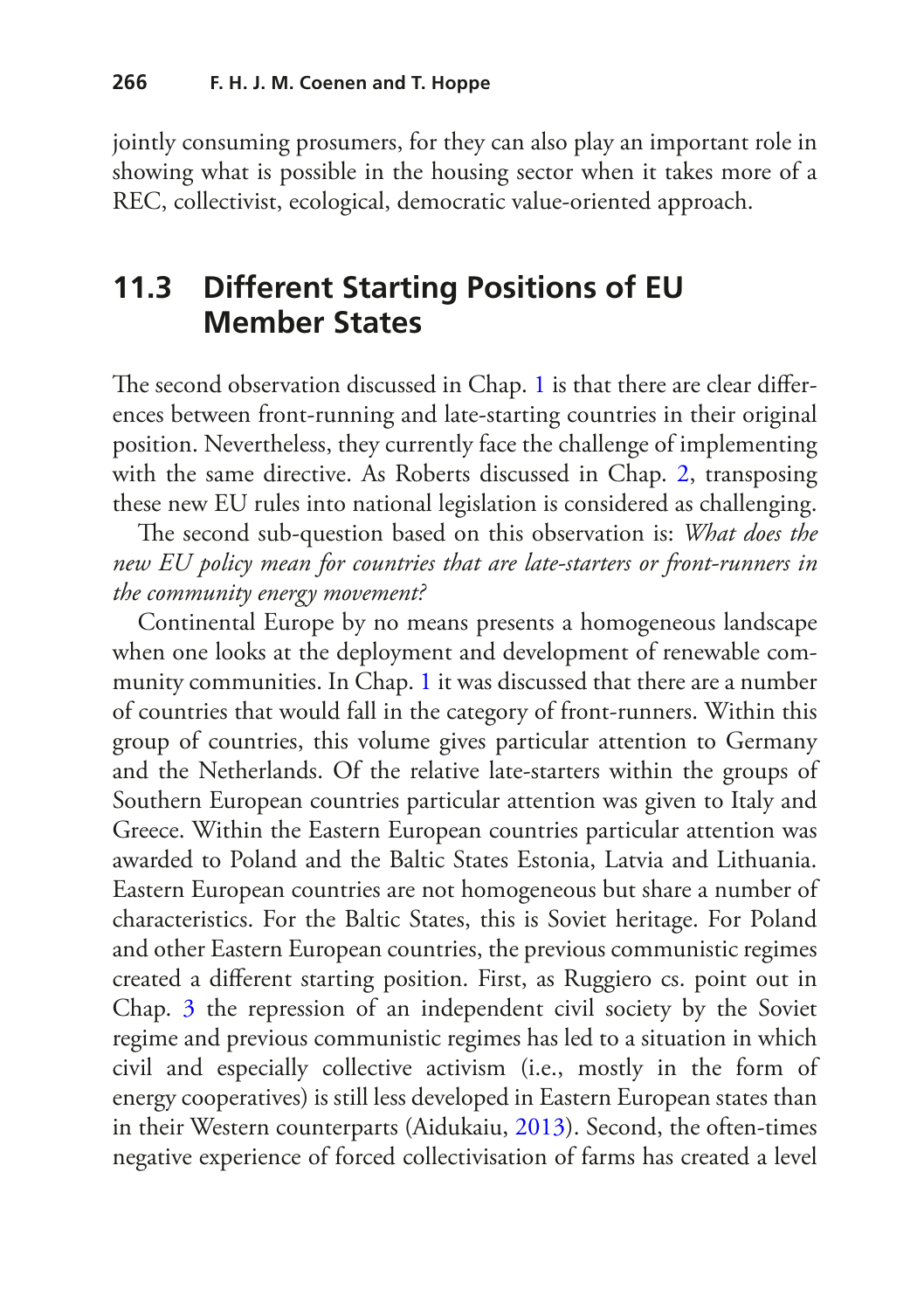jointly consuming prosumers, for they can also play an important role in showing what is possible in the housing sector when it takes more of a REC, collectivist, ecological, democratic value-oriented approach.

#### **11.3 Different Starting Positions of EU Member States**

The second observation discussed in Chap. [1](https://doi.org/10.1007/978-3-030-84440-0_1) is that there are clear differences between front-running and late-starting countries in their original position. Nevertheless, they currently face the challenge of implementing with the same directive. As Roberts discussed in Chap. [2](https://doi.org/10.1007/978-3-030-84440-0_2), transposing these new EU rules into national legislation is considered as challenging.

The second sub-question based on this observation is: *What does the new EU policy mean for countries that are late-starters or front-runners in the community energy movement?*

Continental Europe by no means presents a homogeneous landscape when one looks at the deployment and development of renewable community communities. In Chap. [1](https://doi.org/10.1007/978-3-030-84440-0_1) it was discussed that there are a number of countries that would fall in the category of front-runners. Within this group of countries, this volume gives particular attention to Germany and the Netherlands. Of the relative late-starters within the groups of Southern European countries particular attention was given to Italy and Greece. Within the Eastern European countries particular attention was awarded to Poland and the Baltic States Estonia, Latvia and Lithuania. Eastern European countries are not homogeneous but share a number of characteristics. For the Baltic States, this is Soviet heritage. For Poland and other Eastern European countries, the previous communistic regimes created a diferent starting position. First, as Ruggiero cs. point out in Chap. [3](https://doi.org/10.1007/978-3-030-84440-0_4) the repression of an independent civil society by the Soviet regime and previous communistic regimes has led to a situation in which civil and especially collective activism (i.e., mostly in the form of energy cooperatives) is still less developed in Eastern European states than in their Western counterparts (Aidukaiu, [2013\)](#page-23-4). Second, the often-times negative experience of forced collectivisation of farms has created a level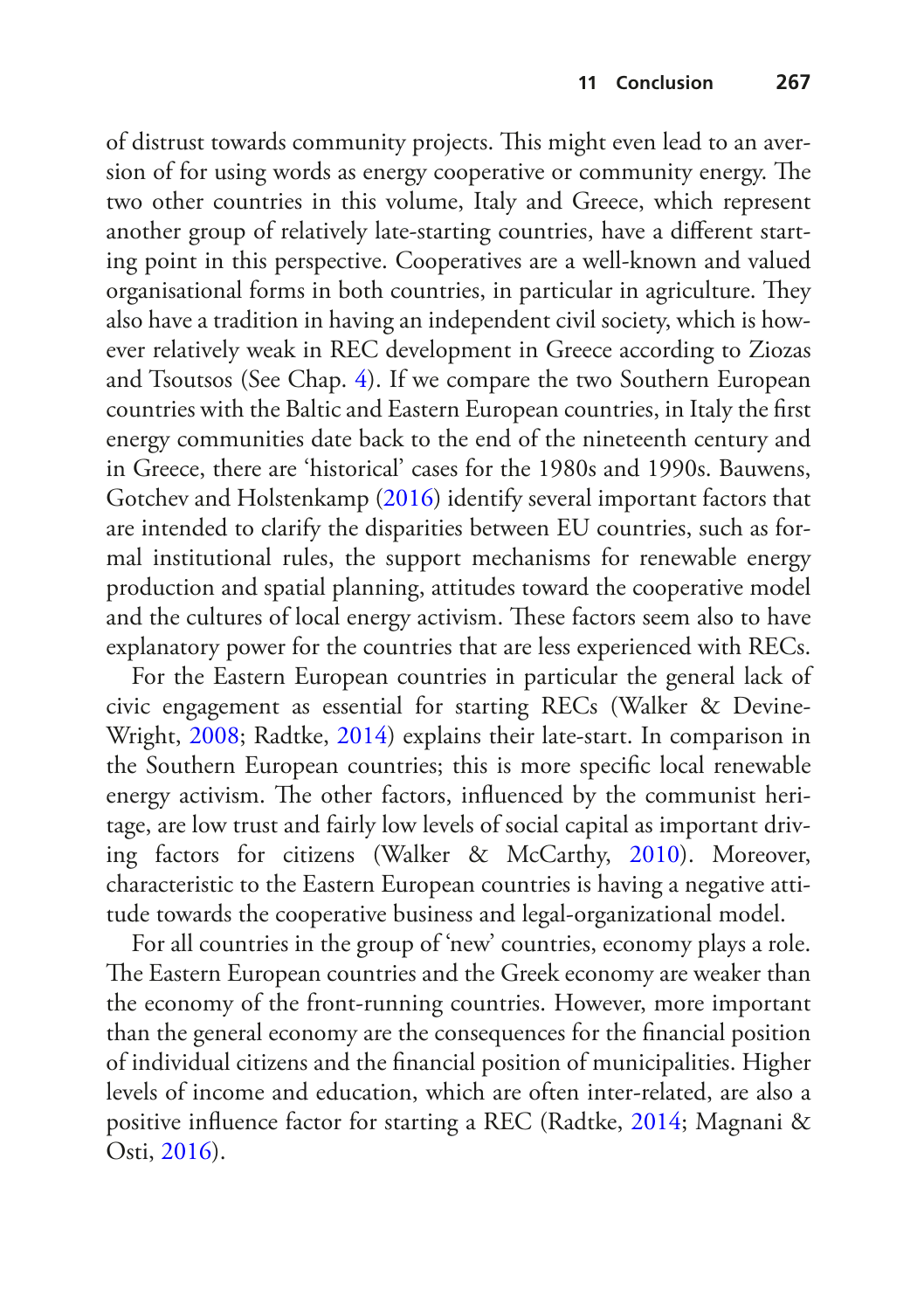of distrust towards community projects. This might even lead to an aversion of for using words as energy cooperative or community energy. The two other countries in this volume, Italy and Greece, which represent another group of relatively late-starting countries, have a diferent starting point in this perspective. Cooperatives are a well-known and valued organisational forms in both countries, in particular in agriculture. They also have a tradition in having an independent civil society, which is however relatively weak in REC development in Greece according to Ziozas and Tsoutsos (See Chap. [4\)](https://doi.org/10.1007/978-3-030-84440-0_3). If we compare the two Southern European countries with the Baltic and Eastern European countries, in Italy the frst energy communities date back to the end of the nineteenth century and in Greece, there are 'historical' cases for the 1980s and 1990s. Bauwens, Gotchev and Holstenkamp [\(2016\)](#page-23-5) identify several important factors that are intended to clarify the disparities between EU countries, such as formal institutional rules, the support mechanisms for renewable energy production and spatial planning, attitudes toward the cooperative model and the cultures of local energy activism. These factors seem also to have explanatory power for the countries that are less experienced with RECs.

For the Eastern European countries in particular the general lack of civic engagement as essential for starting RECs (Walker & Devine-Wright, [2008;](#page-26-5) Radtke, [2014](#page-25-3)) explains their late-start. In comparison in the Southern European countries; this is more specifc local renewable energy activism. The other factors, influenced by the communist heritage, are low trust and fairly low levels of social capital as important driving factors for citizens (Walker & McCarthy, [2010\)](#page-26-6). Moreover, characteristic to the Eastern European countries is having a negative attitude towards the cooperative business and legal-organizational model.

For all countries in the group of 'new' countries, economy plays a role. The Eastern European countries and the Greek economy are weaker than the economy of the front-running countries. However, more important than the general economy are the consequences for the fnancial position of individual citizens and the fnancial position of municipalities. Higher levels of income and education, which are often inter-related, are also a positive infuence factor for starting a REC (Radtke, [2014;](#page-25-3) Magnani & Osti, [2016](#page-25-4)).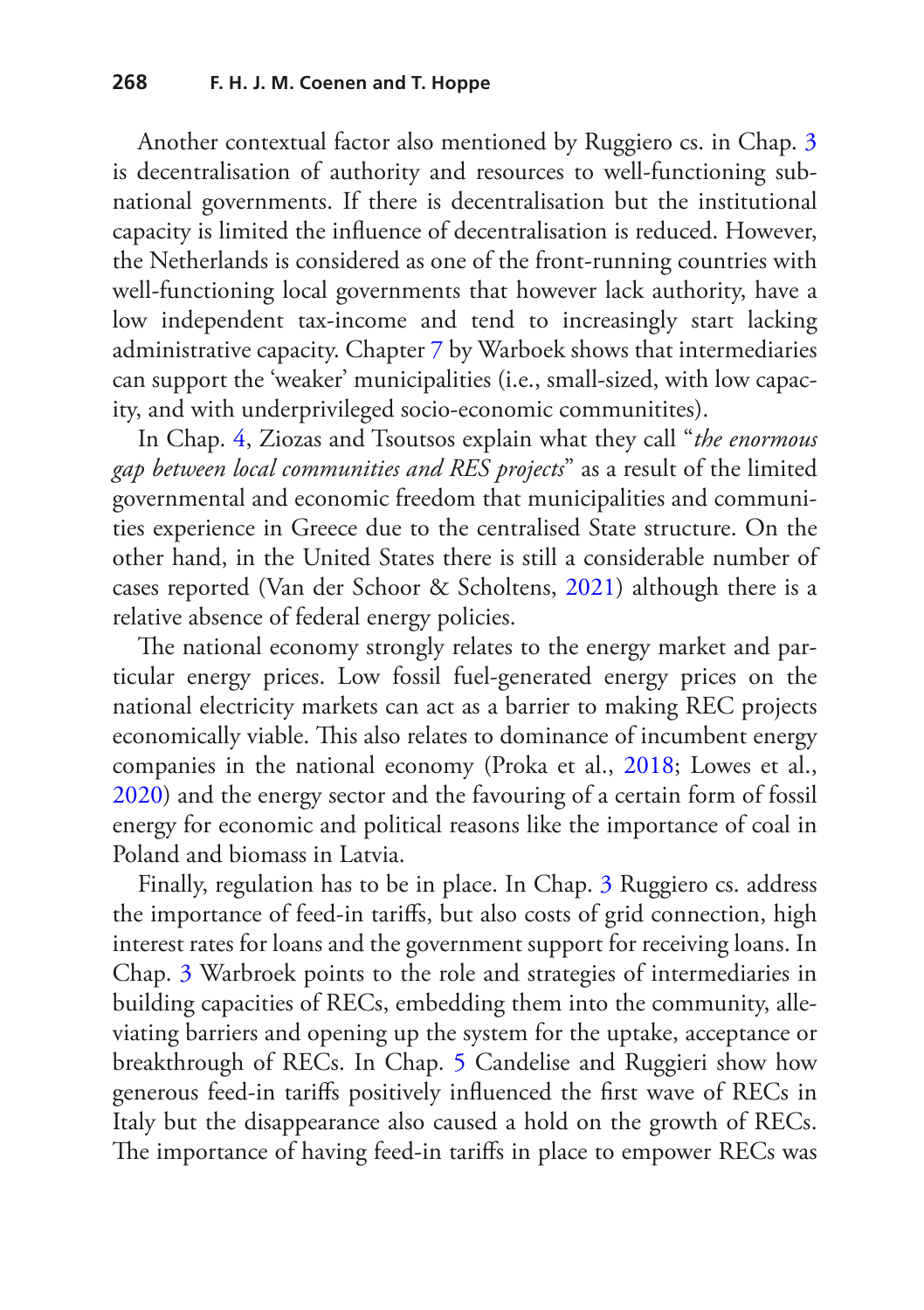Another contextual factor also mentioned by Ruggiero cs. in Chap. [3](https://doi.org/10.1007/978-3-030-84440-0_3) is decentralisation of authority and resources to well-functioning subnational governments. If there is decentralisation but the institutional capacity is limited the infuence of decentralisation is reduced. However, the Netherlands is considered as one of the front-running countries with well-functioning local governments that however lack authority, have a low independent tax-income and tend to increasingly start lacking administrative capacity. Chapter [7](https://doi.org/10.1007/978-3-030-84440-0_7) by Warboek shows that intermediaries can support the 'weaker' municipalities (i.e., small-sized, with low capacity, and with underprivileged socio-economic communitites).

In Chap. [4,](https://doi.org/10.1007/978-3-030-84440-0_4) Ziozas and Tsoutsos explain what they call "*the enormous gap between local communities and RES projects*" as a result of the limited governmental and economic freedom that municipalities and communities experience in Greece due to the centralised State structure. On the other hand, in the United States there is still a considerable number of cases reported (Van der Schoor & Scholtens, [2021\)](#page-26-7) although there is a relative absence of federal energy policies.

The national economy strongly relates to the energy market and particular energy prices. Low fossil fuel-generated energy prices on the national electricity markets can act as a barrier to making REC projects economically viable. This also relates to dominance of incumbent energy companies in the national economy (Proka et al., [2018](#page-25-5); Lowes et al., [2020](#page-25-6)) and the energy sector and the favouring of a certain form of fossil energy for economic and political reasons like the importance of coal in Poland and biomass in Latvia.

Finally, regulation has to be in place. In Chap. [3](https://doi.org/10.1007/978-3-030-84440-0_3) Ruggiero cs. address the importance of feed-in tarifs, but also costs of grid connection, high interest rates for loans and the government support for receiving loans. In Chap. [3](https://doi.org/10.1007/978-3-030-84440-0_3) Warbroek points to the role and strategies of intermediaries in building capacities of RECs, embedding them into the community, alleviating barriers and opening up the system for the uptake, acceptance or breakthrough of RECs. In Chap. [5](https://doi.org/10.1007/978-3-030-84440-0_5) Candelise and Ruggieri show how generous feed-in tarifs positively infuenced the frst wave of RECs in Italy but the disappearance also caused a hold on the growth of RECs. The importance of having feed-in tariffs in place to empower RECs was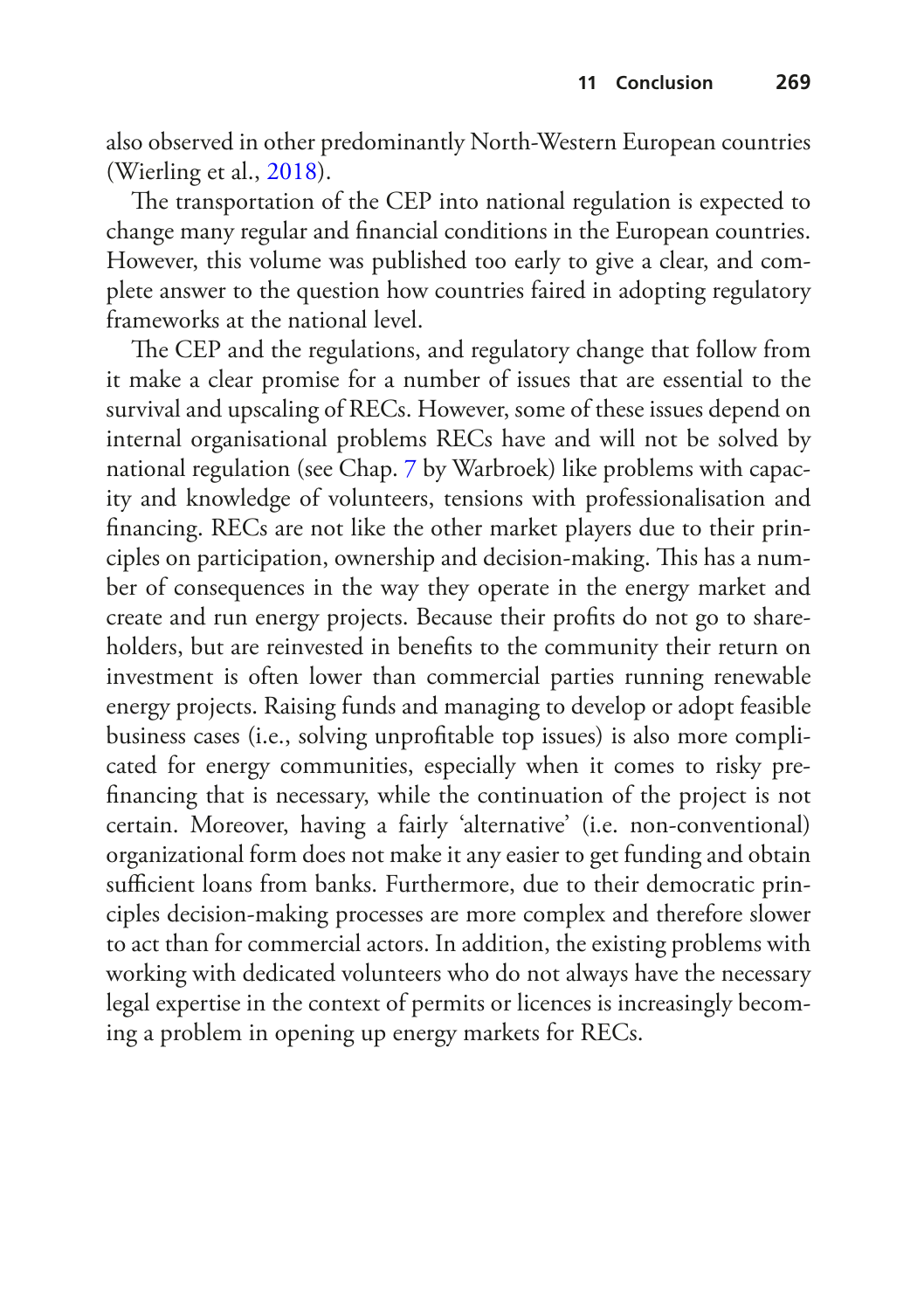also observed in other predominantly North-Western European countries (Wierling et al., [2018](#page-26-8)).

The transportation of the CEP into national regulation is expected to change many regular and fnancial conditions in the European countries. However, this volume was published too early to give a clear, and complete answer to the question how countries faired in adopting regulatory frameworks at the national level.

The CEP and the regulations, and regulatory change that follow from it make a clear promise for a number of issues that are essential to the survival and upscaling of RECs. However, some of these issues depend on internal organisational problems RECs have and will not be solved by national regulation (see Chap. [7](https://doi.org/10.1007/978-3-030-84440-0_7) by Warbroek) like problems with capacity and knowledge of volunteers, tensions with professionalisation and fnancing. RECs are not like the other market players due to their principles on participation, ownership and decision-making. This has a number of consequences in the way they operate in the energy market and create and run energy projects. Because their profts do not go to shareholders, but are reinvested in benefts to the community their return on investment is often lower than commercial parties running renewable energy projects. Raising funds and managing to develop or adopt feasible business cases (i.e., solving unproftable top issues) is also more complicated for energy communities, especially when it comes to risky prefnancing that is necessary, while the continuation of the project is not certain. Moreover, having a fairly 'alternative' (i.e. non-conventional) organizational form does not make it any easier to get funding and obtain sufficient loans from banks. Furthermore, due to their democratic principles decision-making processes are more complex and therefore slower to act than for commercial actors. In addition, the existing problems with working with dedicated volunteers who do not always have the necessary legal expertise in the context of permits or licences is increasingly becoming a problem in opening up energy markets for RECs.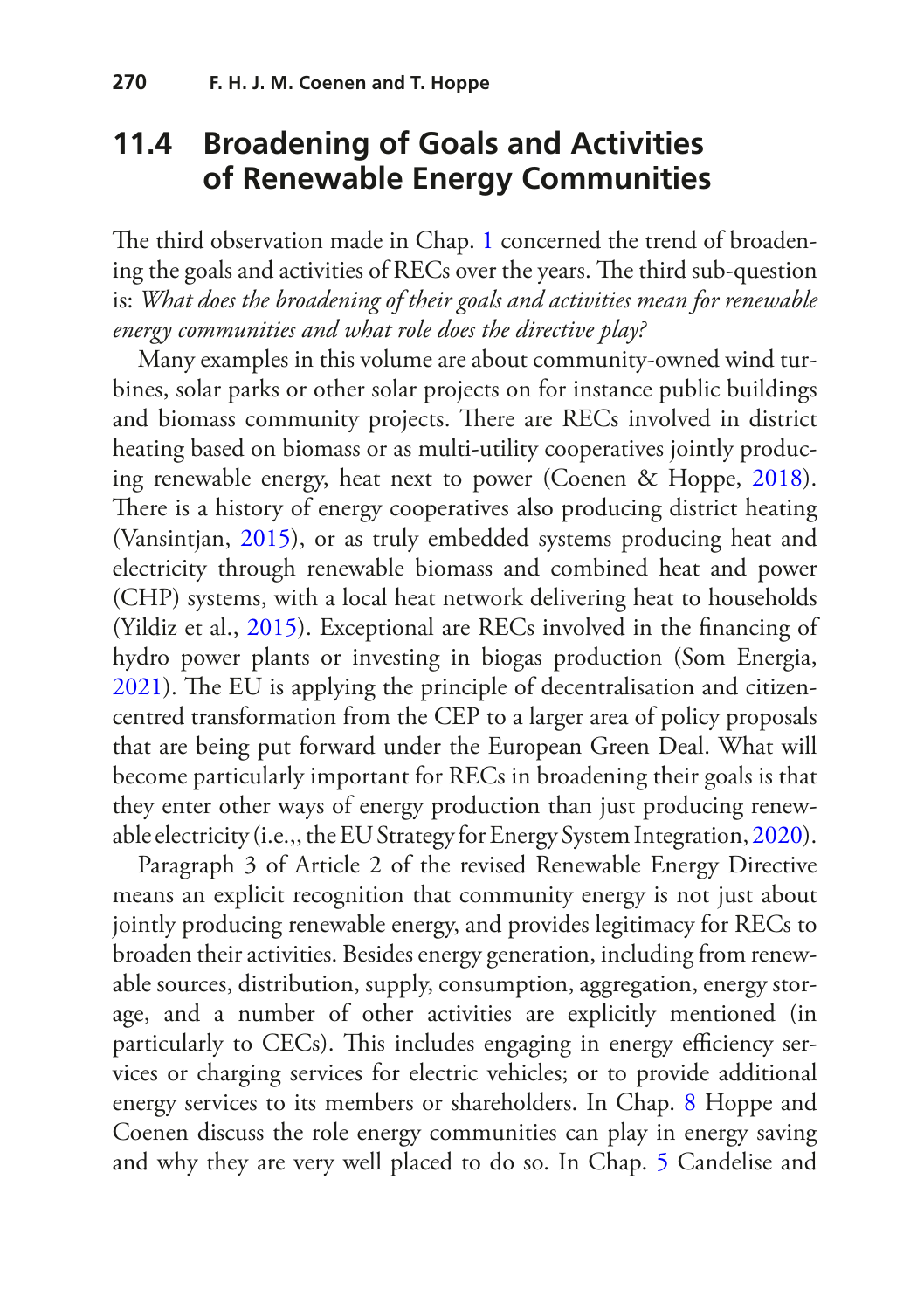#### **11.4 Broadening of Goals and Activities of Renewable Energy Communities**

The third observation made in Chap. [1](https://doi.org/10.1007/978-3-030-84440-0_1) concerned the trend of broadening the goals and activities of RECs over the years. The third sub-question is: *What does the broadening of their goals and activities mean for renewable energy communities and what role does the directive play?*

Many examples in this volume are about community-owned wind turbines, solar parks or other solar projects on for instance public buildings and biomass community projects. There are RECs involved in district heating based on biomass or as multi-utility cooperatives jointly producing renewable energy, heat next to power (Coenen & Hoppe, [2018\)](#page-23-6). There is a history of energy cooperatives also producing district heating (Vansintjan, [2015](#page-26-9)), or as truly embedded systems producing heat and electricity through renewable biomass and combined heat and power (CHP) systems, with a local heat network delivering heat to households (Yildiz et al., [2015](#page-27-3)). Exceptional are RECs involved in the fnancing of hydro power plants or investing in biogas production (Som Energia, [2021](#page-26-10)). The EU is applying the principle of decentralisation and citizencentred transformation from the CEP to a larger area of policy proposals that are being put forward under the European Green Deal. What will become particularly important for RECs in broadening their goals is that they enter other ways of energy production than just producing renewable electricity (i.e.,, the EU Strategy for Energy System Integration, [2020\)](#page-24-0).

Paragraph 3 of Article 2 of the revised Renewable Energy Directive means an explicit recognition that community energy is not just about jointly producing renewable energy, and provides legitimacy for RECs to broaden their activities. Besides energy generation, including from renewable sources, distribution, supply, consumption, aggregation, energy storage, and a number of other activities are explicitly mentioned (in particularly to CECs). This includes engaging in energy efficiency services or charging services for electric vehicles; or to provide additional energy services to its members or shareholders. In Chap. [8](https://doi.org/10.1007/978-3-030-84440-0_8) Hoppe and Coenen discuss the role energy communities can play in energy saving and why they are very well placed to do so. In Chap. [5](https://doi.org/10.1007/978-3-030-84440-0_5) Candelise and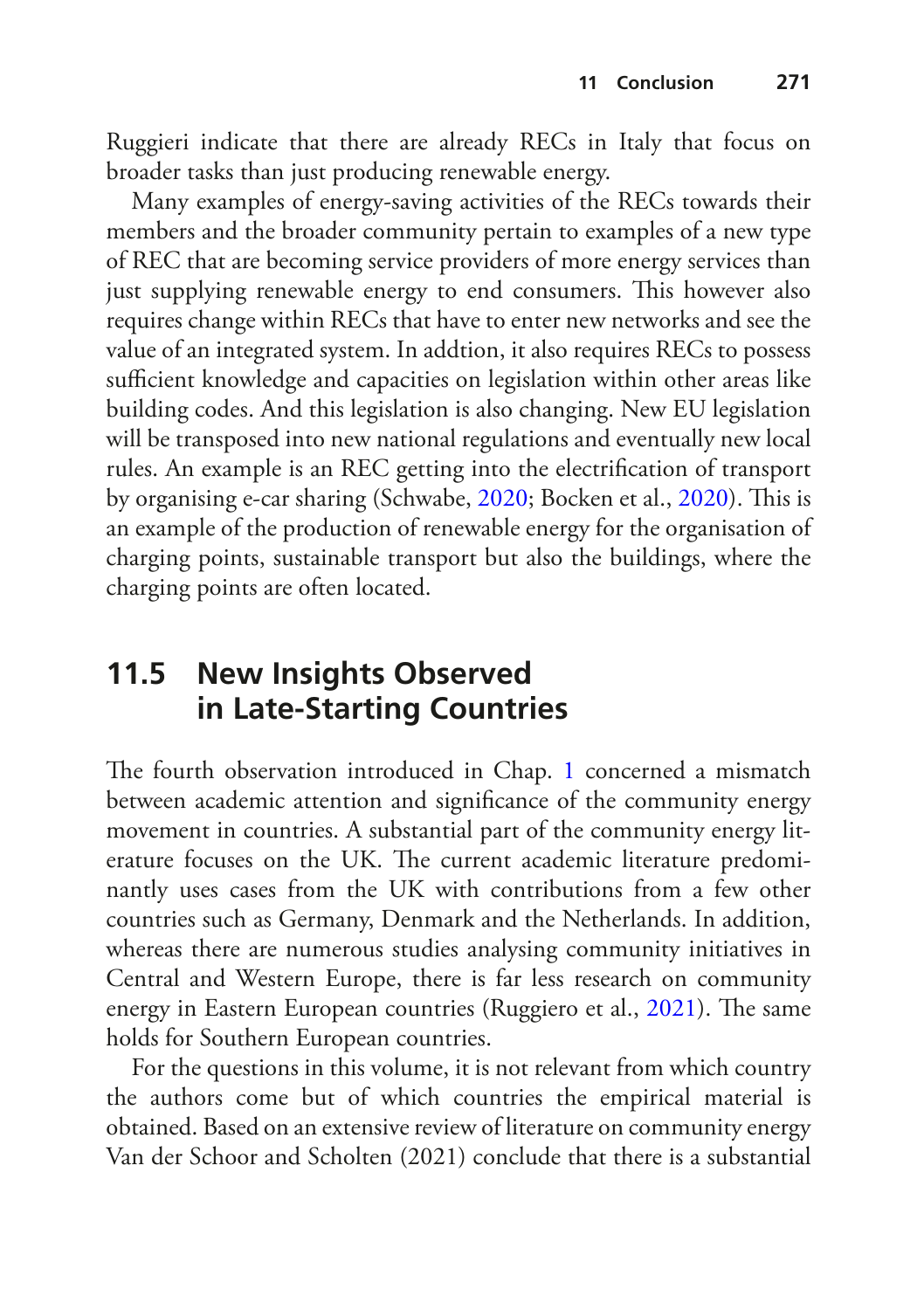Ruggieri indicate that there are already RECs in Italy that focus on broader tasks than just producing renewable energy.

Many examples of energy-saving activities of the RECs towards their members and the broader community pertain to examples of a new type of REC that are becoming service providers of more energy services than just supplying renewable energy to end consumers. This however also requires change within RECs that have to enter new networks and see the value of an integrated system. In addtion, it also requires RECs to possess sufficient knowledge and capacities on legislation within other areas like building codes. And this legislation is also changing. New EU legislation will be transposed into new national regulations and eventually new local rules. An example is an REC getting into the electrifcation of transport by organising e-car sharing (Schwabe, [2020;](#page-25-7) Bocken et al., [2020](#page-23-7)). This is an example of the production of renewable energy for the organisation of charging points, sustainable transport but also the buildings, where the charging points are often located.

#### **11.5 New Insights Observed in Late-Starting Countries**

The fourth observation introduced in Chap. [1](https://doi.org/10.1007/978-3-030-84440-0_1) concerned a mismatch between academic attention and signifcance of the community energy movement in countries. A substantial part of the community energy literature focuses on the UK. The current academic literature predominantly uses cases from the UK with contributions from a few other countries such as Germany, Denmark and the Netherlands. In addition, whereas there are numerous studies analysing community initiatives in Central and Western Europe, there is far less research on community energy in Eastern European countries (Ruggiero et al., [2021\)](#page-25-8). The same holds for Southern European countries.

For the questions in this volume, it is not relevant from which country the authors come but of which countries the empirical material is obtained. Based on an extensive review of literature on community energy Van der Schoor and Scholten (2021) conclude that there is a substantial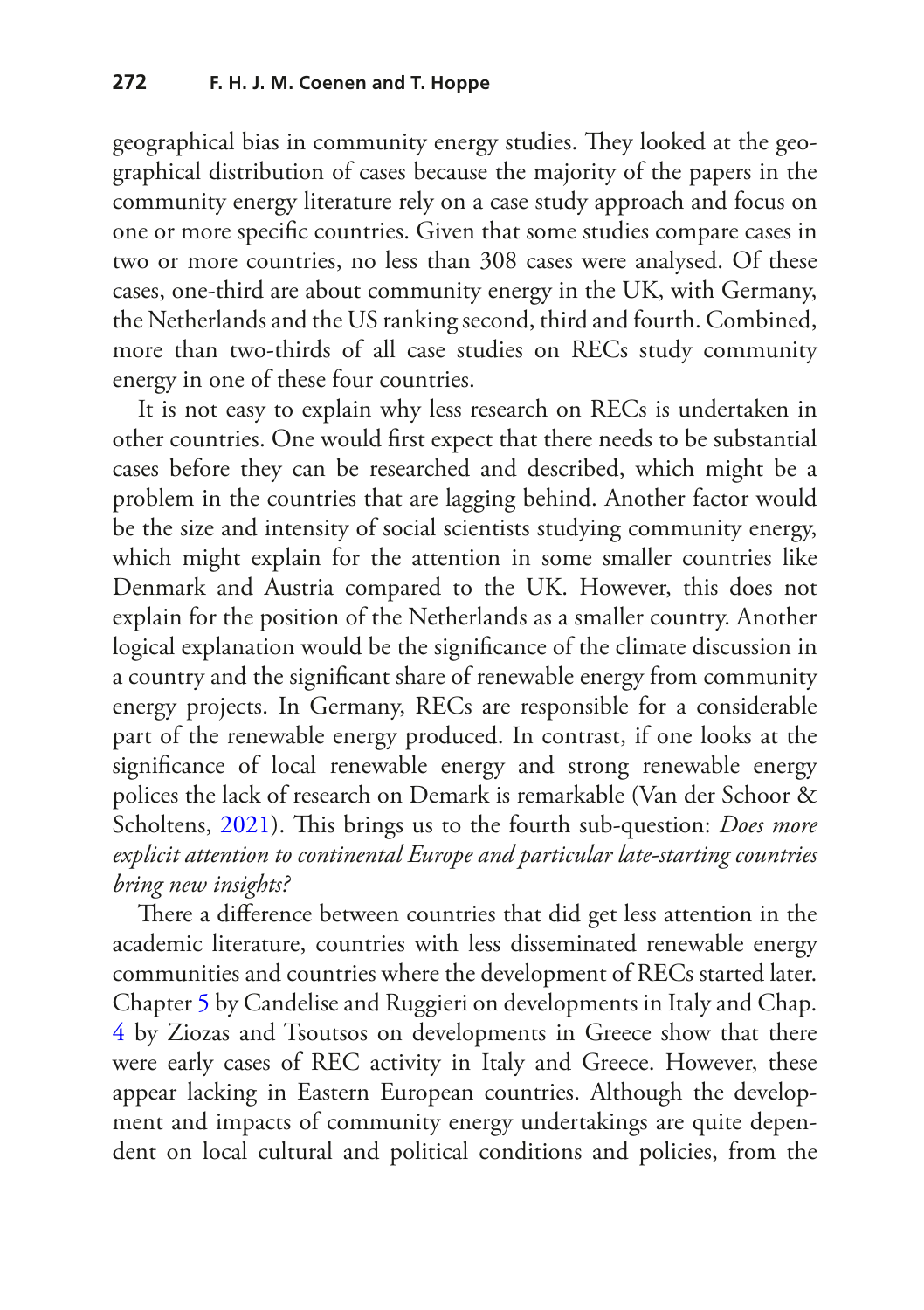geographical bias in community energy studies. They looked at the geographical distribution of cases because the majority of the papers in the community energy literature rely on a case study approach and focus on one or more specifc countries. Given that some studies compare cases in two or more countries, no less than 308 cases were analysed. Of these cases, one-third are about community energy in the UK, with Germany, the Netherlands and the US ranking second, third and fourth. Combined, more than two-thirds of all case studies on RECs study community energy in one of these four countries.

It is not easy to explain why less research on RECs is undertaken in other countries. One would frst expect that there needs to be substantial cases before they can be researched and described, which might be a problem in the countries that are lagging behind. Another factor would be the size and intensity of social scientists studying community energy, which might explain for the attention in some smaller countries like Denmark and Austria compared to the UK. However, this does not explain for the position of the Netherlands as a smaller country. Another logical explanation would be the signifcance of the climate discussion in a country and the signifcant share of renewable energy from community energy projects. In Germany, RECs are responsible for a considerable part of the renewable energy produced. In contrast, if one looks at the signifcance of local renewable energy and strong renewable energy polices the lack of research on Demark is remarkable (Van der Schoor & Scholtens, [2021](#page-26-7)). This brings us to the fourth sub-question: *Does more explicit attention to continental Europe and particular late-starting countries bring new insights?*

There a difference between countries that did get less attention in the academic literature, countries with less disseminated renewable energy communities and countries where the development of RECs started later. Chapter [5](https://doi.org/10.1007/978-3-030-84440-0_5) by Candelise and Ruggieri on developments in Italy and Chap. [4](https://doi.org/10.1007/978-3-030-84440-0_3) by Ziozas and Tsoutsos on developments in Greece show that there were early cases of REC activity in Italy and Greece. However, these appear lacking in Eastern European countries. Although the development and impacts of community energy undertakings are quite dependent on local cultural and political conditions and policies, from the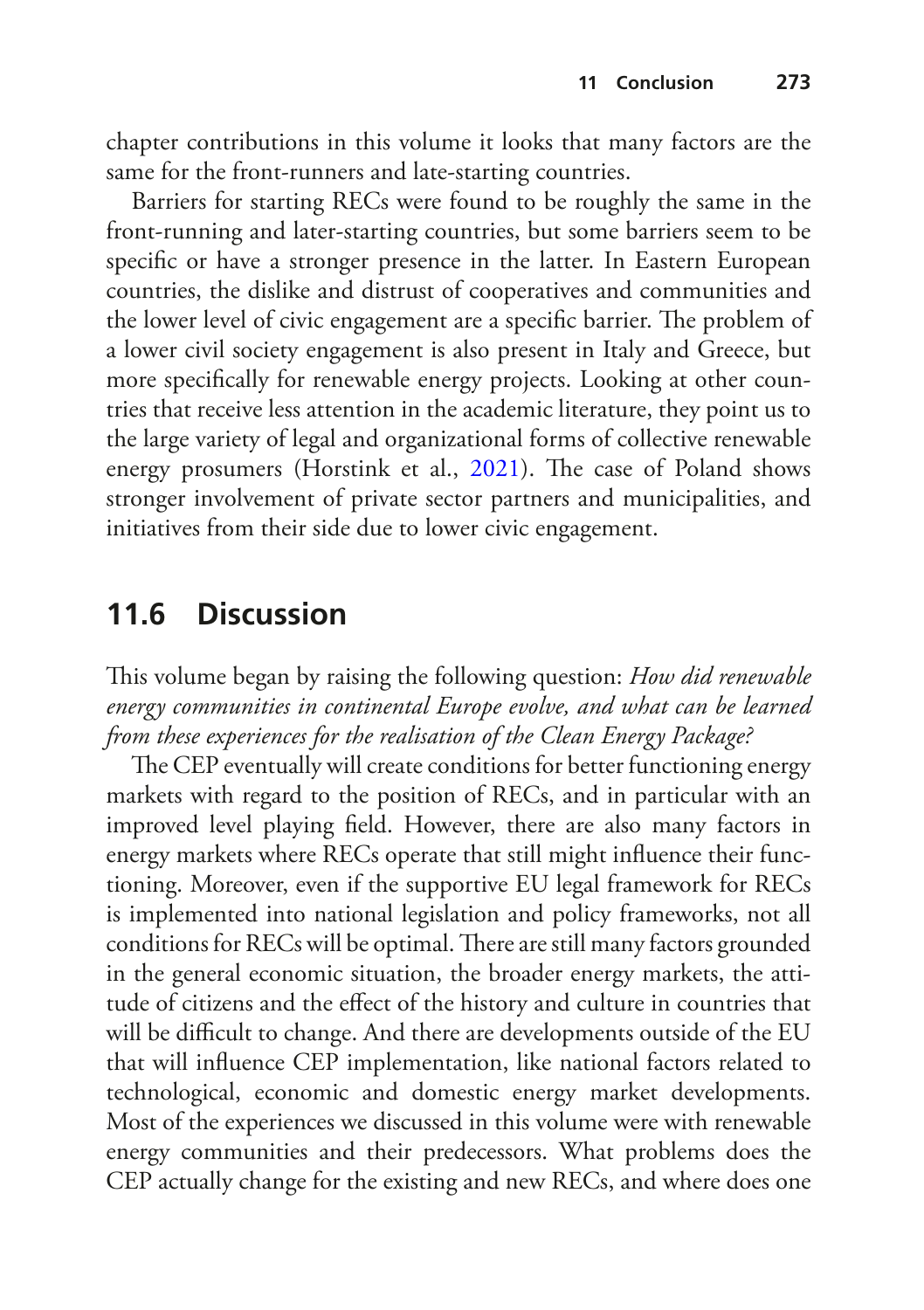chapter contributions in this volume it looks that many factors are the same for the front-runners and late-starting countries.

Barriers for starting RECs were found to be roughly the same in the front-running and later-starting countries, but some barriers seem to be specifc or have a stronger presence in the latter. In Eastern European countries, the dislike and distrust of cooperatives and communities and the lower level of civic engagement are a specific barrier. The problem of a lower civil society engagement is also present in Italy and Greece, but more specifcally for renewable energy projects. Looking at other countries that receive less attention in the academic literature, they point us to the large variety of legal and organizational forms of collective renewable energy prosumers (Horstink et al., [2021\)](#page-24-5). The case of Poland shows stronger involvement of private sector partners and municipalities, and initiatives from their side due to lower civic engagement.

#### **11.6 Discussion**

This volume began by raising the following question: *How did renewable energy communities in continental Europe evolve, and what can be learned from these experiences for the realisation of the Clean Energy Package?*

The CEP eventually will create conditions for better functioning energy markets with regard to the position of RECs, and in particular with an improved level playing feld. However, there are also many factors in energy markets where RECs operate that still might infuence their functioning. Moreover, even if the supportive EU legal framework for RECs is implemented into national legislation and policy frameworks, not all conditions for RECs will be optimal. There are still many factors grounded in the general economic situation, the broader energy markets, the attitude of citizens and the efect of the history and culture in countries that will be difficult to change. And there are developments outside of the EU that will infuence CEP implementation, like national factors related to technological, economic and domestic energy market developments. Most of the experiences we discussed in this volume were with renewable energy communities and their predecessors. What problems does the CEP actually change for the existing and new RECs, and where does one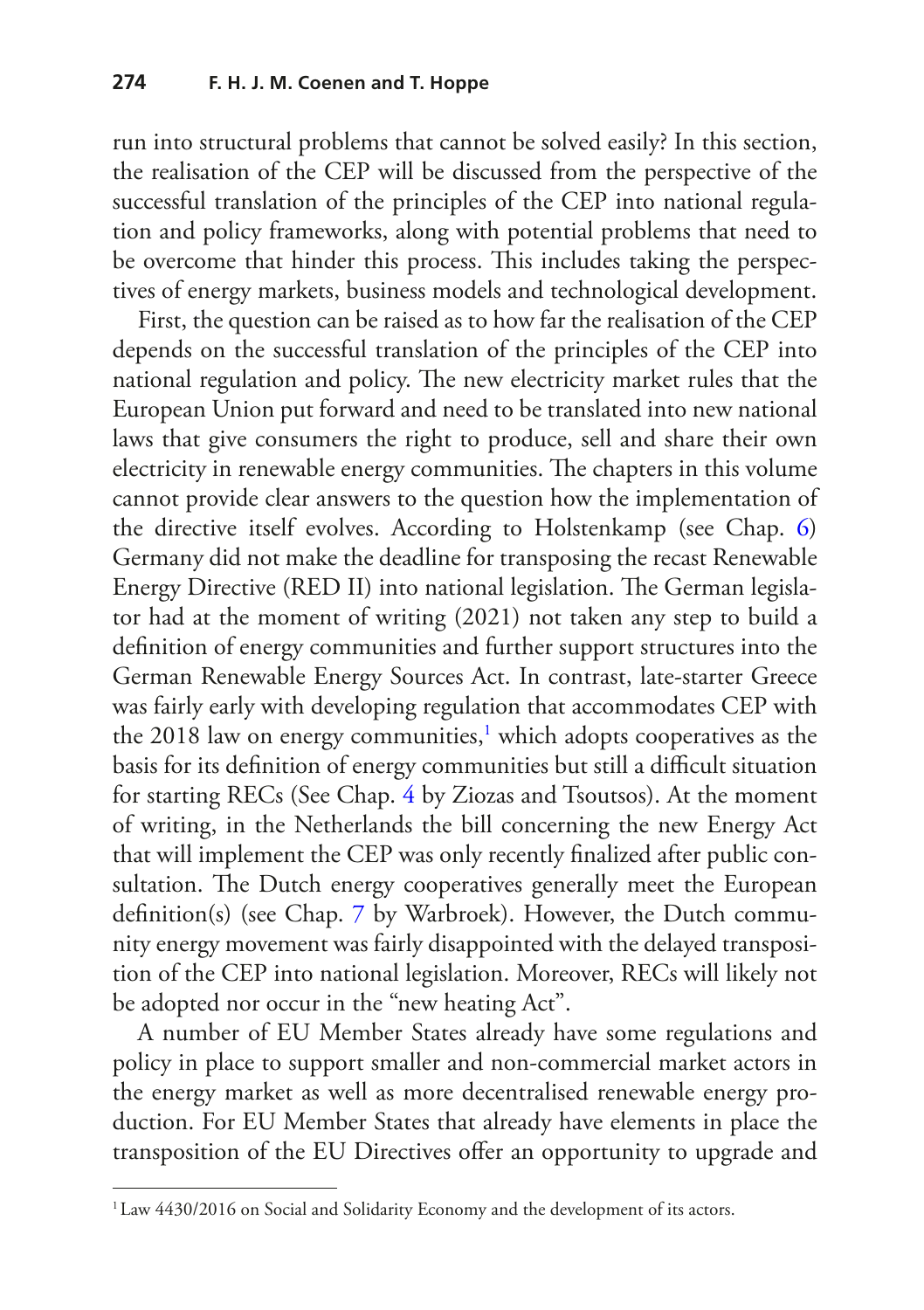run into structural problems that cannot be solved easily? In this section, the realisation of the CEP will be discussed from the perspective of the successful translation of the principles of the CEP into national regulation and policy frameworks, along with potential problems that need to be overcome that hinder this process. This includes taking the perspectives of energy markets, business models and technological development.

First, the question can be raised as to how far the realisation of the CEP depends on the successful translation of the principles of the CEP into national regulation and policy. The new electricity market rules that the European Union put forward and need to be translated into new national laws that give consumers the right to produce, sell and share their own electricity in renewable energy communities. The chapters in this volume cannot provide clear answers to the question how the implementation of the directive itself evolves. According to Holstenkamp (see Chap. [6\)](https://doi.org/10.1007/978-3-030-84440-0_6) Germany did not make the deadline for transposing the recast Renewable Energy Directive (RED II) into national legislation. The German legislator had at the moment of writing (2021) not taken any step to build a defnition of energy communities and further support structures into the German Renewable Energy Sources Act. In contrast, late-starter Greece was fairly early with developing regulation that accommodates CEP with the 20[1](#page-17-0)8 law on energy communities,<sup>1</sup> which adopts cooperatives as the basis for its definition of energy communities but still a difficult situation for starting RECs (See Chap. [4](https://doi.org/10.1007/978-3-030-84440-0_4) by Ziozas and Tsoutsos). At the moment of writing, in the Netherlands the bill concerning the new Energy Act that will implement the CEP was only recently fnalized after public consultation. The Dutch energy cooperatives generally meet the European defnition(s) (see Chap. [7](https://doi.org/10.1007/978-3-030-84440-0_7) by Warbroek). However, the Dutch community energy movement was fairly disappointed with the delayed transposition of the CEP into national legislation. Moreover, RECs will likely not be adopted nor occur in the "new heating Act".

A number of EU Member States already have some regulations and policy in place to support smaller and non-commercial market actors in the energy market as well as more decentralised renewable energy production. For EU Member States that already have elements in place the transposition of the EU Directives offer an opportunity to upgrade and

<span id="page-17-0"></span><sup>&</sup>lt;sup>1</sup> Law 4430/2016 on Social and Solidarity Economy and the development of its actors.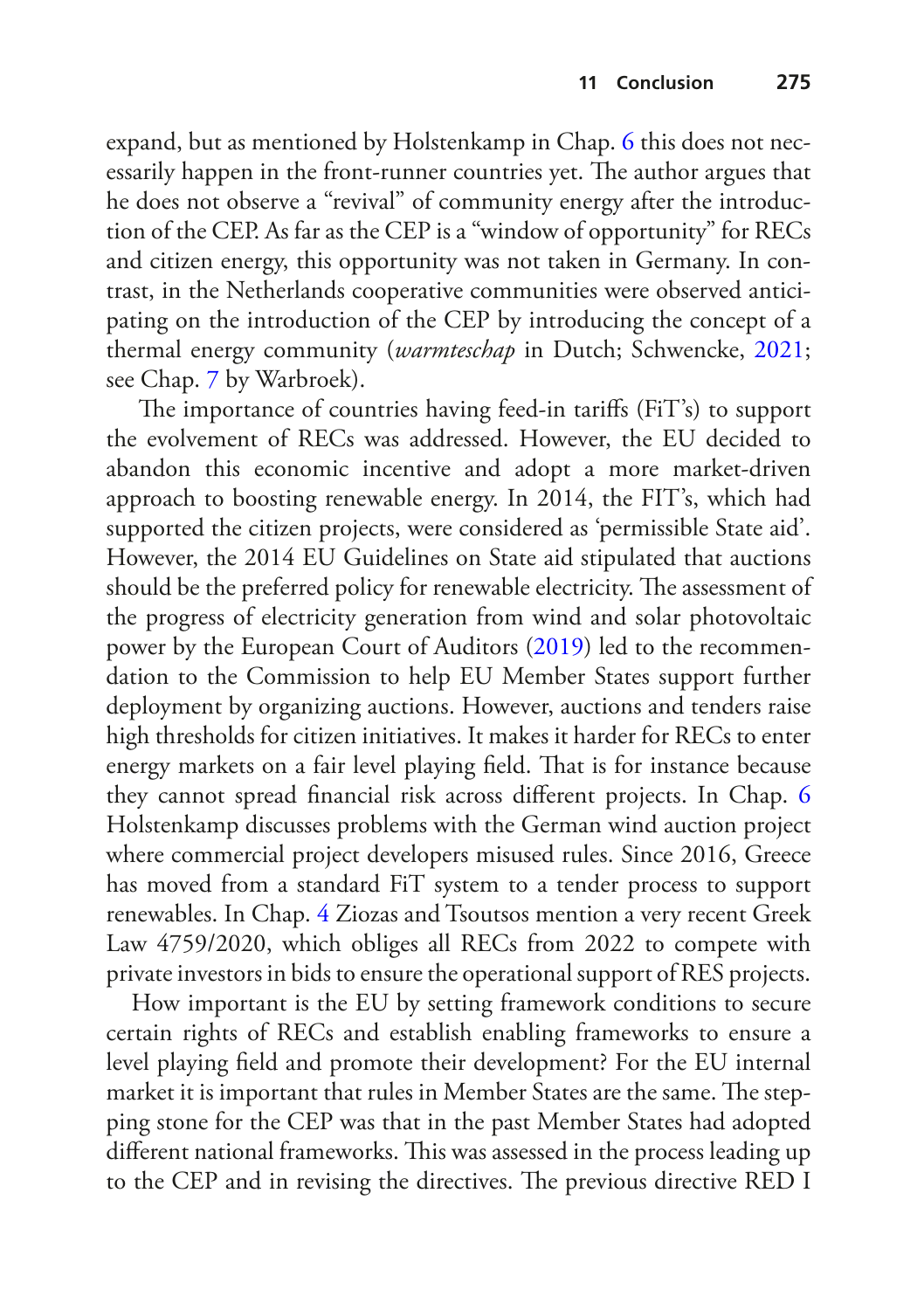expand, but as mentioned by Holstenkamp in Chap. [6](https://doi.org/10.1007/978-3-030-84440-0_6) this does not necessarily happen in the front-runner countries yet. The author argues that he does not observe a "revival" of community energy after the introduction of the CEP. As far as the CEP is a "window of opportunity" for RECs and citizen energy, this opportunity was not taken in Germany. In contrast, in the Netherlands cooperative communities were observed anticipating on the introduction of the CEP by introducing the concept of a thermal energy community (*warmteschap* in Dutch; Schwencke, [2021;](#page-25-9) see Chap. [7](https://doi.org/10.1007/978-3-030-84440-0_7) by Warbroek).

The importance of countries having feed-in tariffs (FiT's) to support the evolvement of RECs was addressed. However, the EU decided to abandon this economic incentive and adopt a more market-driven approach to boosting renewable energy. In 2014, the FIT's, which had supported the citizen projects, were considered as 'permissible State aid'. However, the 2014 EU Guidelines on State aid stipulated that auctions should be the preferred policy for renewable electricity. The assessment of the progress of electricity generation from wind and solar photovoltaic power by the European Court of Auditors [\(2019](#page-24-6)) led to the recommendation to the Commission to help EU Member States support further deployment by organizing auctions. However, auctions and tenders raise high thresholds for citizen initiatives. It makes it harder for RECs to enter energy markets on a fair level playing field. That is for instance because they cannot spread fnancial risk across diferent projects. In Chap. [6](https://doi.org/10.1007/978-3-030-84440-0_6) Holstenkamp discusses problems with the German wind auction project where commercial project developers misused rules. Since 2016, Greece has moved from a standard FiT system to a tender process to support renewables. In Chap. [4](https://doi.org/10.1007/978-3-030-84440-0_4) Ziozas and Tsoutsos mention a very recent Greek Law 4759/2020, which obliges all RECs from 2022 to compete with private investors in bids to ensure the operational support of RES projects.

How important is the EU by setting framework conditions to secure certain rights of RECs and establish enabling frameworks to ensure a level playing feld and promote their development? For the EU internal market it is important that rules in Member States are the same. The stepping stone for the CEP was that in the past Member States had adopted different national frameworks. This was assessed in the process leading up to the CEP and in revising the directives. The previous directive RED I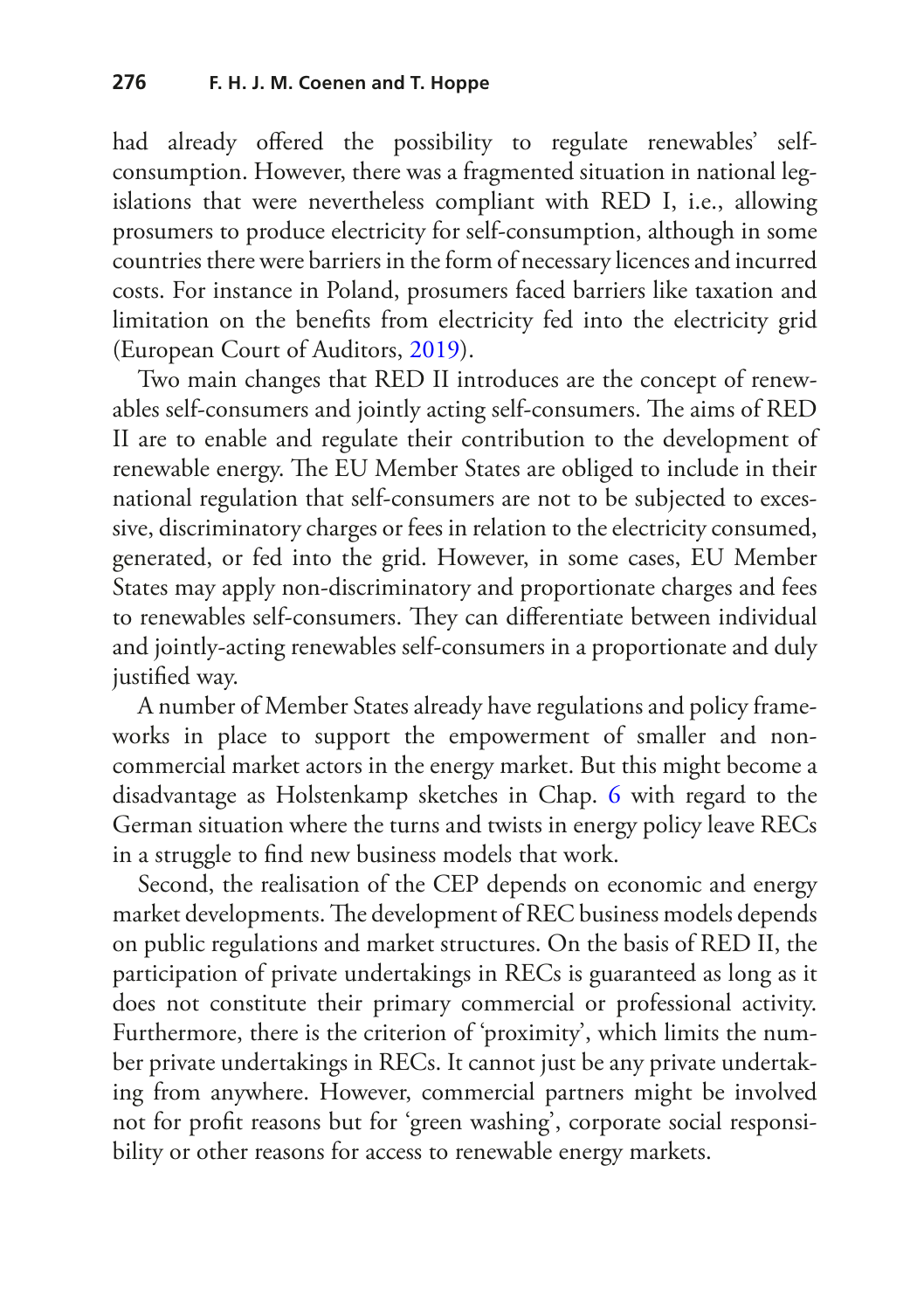had already offered the possibility to regulate renewables' selfconsumption. However, there was a fragmented situation in national legislations that were nevertheless compliant with RED I, i.e., allowing prosumers to produce electricity for self-consumption, although in some countries there were barriers in the form of necessary licences and incurred costs. For instance in Poland, prosumers faced barriers like taxation and limitation on the benefts from electricity fed into the electricity grid (European Court of Auditors, [2019](#page-24-6)).

Two main changes that RED II introduces are the concept of renewables self-consumers and jointly acting self-consumers. The aims of RED II are to enable and regulate their contribution to the development of renewable energy. The EU Member States are obliged to include in their national regulation that self-consumers are not to be subjected to excessive, discriminatory charges or fees in relation to the electricity consumed, generated, or fed into the grid. However, in some cases, EU Member States may apply non-discriminatory and proportionate charges and fees to renewables self-consumers. They can differentiate between individual and jointly-acting renewables self-consumers in a proportionate and duly justifed way.

A number of Member States already have regulations and policy frameworks in place to support the empowerment of smaller and noncommercial market actors in the energy market. But this might become a disadvantage as Holstenkamp sketches in Chap. [6](https://doi.org/10.1007/978-3-030-84440-0_6) with regard to the German situation where the turns and twists in energy policy leave RECs in a struggle to fnd new business models that work.

Second, the realisation of the CEP depends on economic and energy market developments. The development of REC business models depends on public regulations and market structures. On the basis of RED II, the participation of private undertakings in RECs is guaranteed as long as it does not constitute their primary commercial or professional activity. Furthermore, there is the criterion of 'proximity', which limits the number private undertakings in RECs. It cannot just be any private undertaking from anywhere. However, commercial partners might be involved not for proft reasons but for 'green washing', corporate social responsibility or other reasons for access to renewable energy markets.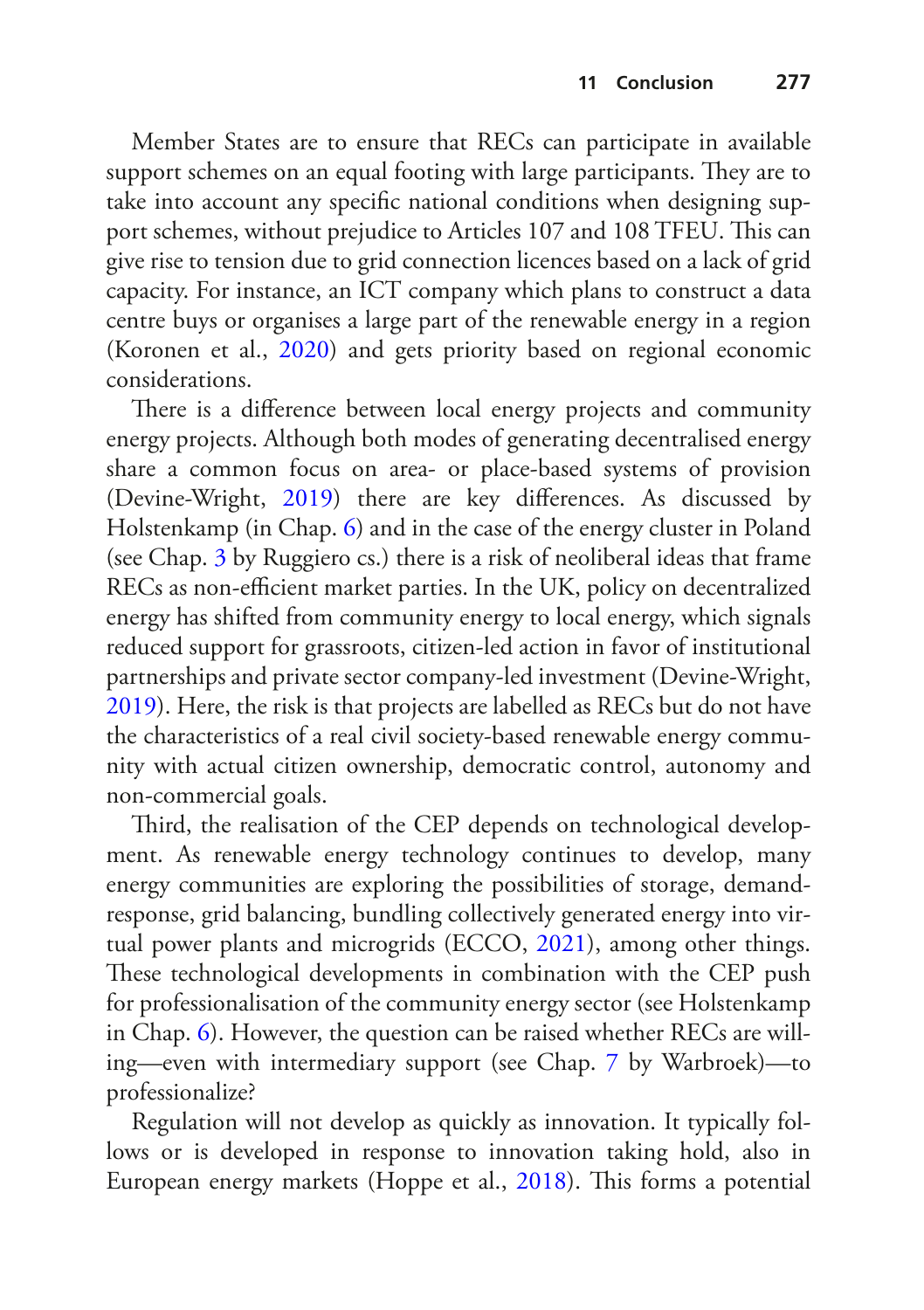Member States are to ensure that RECs can participate in available support schemes on an equal footing with large participants. They are to take into account any specifc national conditions when designing support schemes, without prejudice to Articles 107 and 108 TFEU. This can give rise to tension due to grid connection licences based on a lack of grid capacity. For instance, an ICT company which plans to construct a data centre buys or organises a large part of the renewable energy in a region (Koronen et al., [2020\)](#page-25-10) and gets priority based on regional economic considerations.

There is a difference between local energy projects and community energy projects. Although both modes of generating decentralised energy share a common focus on area- or place-based systems of provision (Devine-Wright, [2019](#page-23-8)) there are key diferences. As discussed by Holstenkamp (in Chap. [6\)](https://doi.org/10.1007/978-3-030-84440-0_6) and in the case of the energy cluster in Poland (see Chap. [3](https://doi.org/10.1007/978-3-030-84440-0_4) by Ruggiero cs.) there is a risk of neoliberal ideas that frame RECs as non-efficient market parties. In the UK, policy on decentralized energy has shifted from community energy to local energy, which signals reduced support for grassroots, citizen-led action in favor of institutional partnerships and private sector company-led investment (Devine-Wright, [2019](#page-23-8)). Here, the risk is that projects are labelled as RECs but do not have the characteristics of a real civil society-based renewable energy community with actual citizen ownership, democratic control, autonomy and non-commercial goals.

Third, the realisation of the CEP depends on technological development. As renewable energy technology continues to develop, many energy communities are exploring the possibilities of storage, demandresponse, grid balancing, bundling collectively generated energy into virtual power plants and microgrids (ECCO, [2021\)](#page-24-7), among other things. These technological developments in combination with the CEP push for professionalisation of the community energy sector (see Holstenkamp in Chap. [6](https://doi.org/10.1007/978-3-030-84440-0_6)). However, the question can be raised whether RECs are willing—even with intermediary support (see Chap. [7](https://doi.org/10.1007/978-3-030-84440-0_7) by Warbroek)—to professionalize?

Regulation will not develop as quickly as innovation. It typically follows or is developed in response to innovation taking hold, also in European energy markets (Hoppe et al., [2018\)](#page-24-8). This forms a potential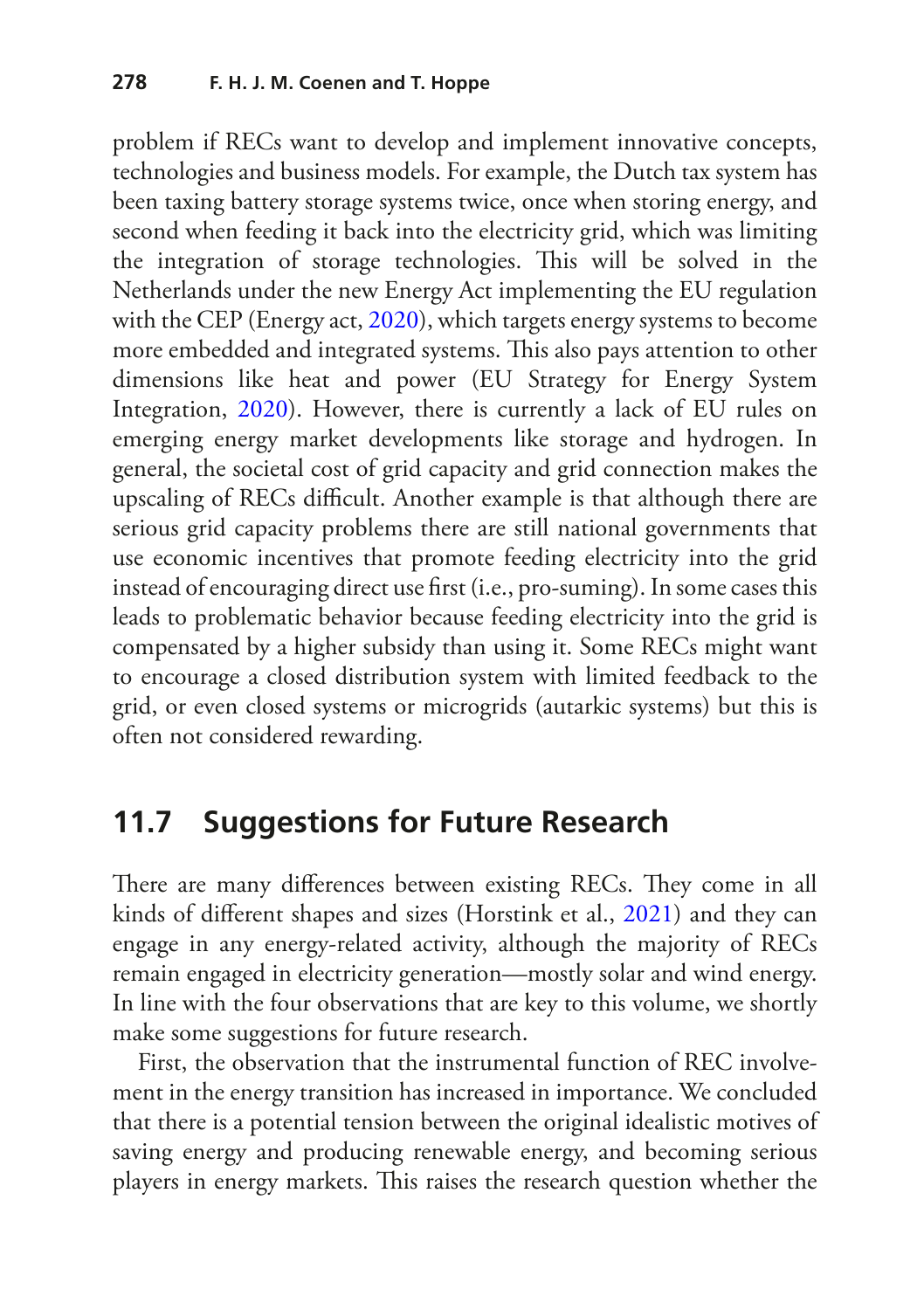problem if RECs want to develop and implement innovative concepts, technologies and business models. For example, the Dutch tax system has been taxing battery storage systems twice, once when storing energy, and second when feeding it back into the electricity grid, which was limiting the integration of storage technologies. This will be solved in the Netherlands under the new Energy Act implementing the EU regulation with the CEP (Energy act, [2020](#page-24-9)), which targets energy systems to become more embedded and integrated systems. This also pays attention to other dimensions like heat and power (EU Strategy for Energy System Integration, [2020\)](#page-24-0). However, there is currently a lack of EU rules on emerging energy market developments like storage and hydrogen. In general, the societal cost of grid capacity and grid connection makes the upscaling of RECs difficult. Another example is that although there are serious grid capacity problems there are still national governments that use economic incentives that promote feeding electricity into the grid instead of encouraging direct use frst (i.e., pro-suming). In some cases this leads to problematic behavior because feeding electricity into the grid is compensated by a higher subsidy than using it. Some RECs might want to encourage a closed distribution system with limited feedback to the grid, or even closed systems or microgrids (autarkic systems) but this is often not considered rewarding.

#### **11.7 Suggestions for Future Research**

There are many differences between existing RECs. They come in all kinds of diferent shapes and sizes (Horstink et al., [2021](#page-24-5)) and they can engage in any energy-related activity, although the majority of RECs remain engaged in electricity generation—mostly solar and wind energy. In line with the four observations that are key to this volume, we shortly make some suggestions for future research.

First, the observation that the instrumental function of REC involvement in the energy transition has increased in importance. We concluded that there is a potential tension between the original idealistic motives of saving energy and producing renewable energy, and becoming serious players in energy markets. This raises the research question whether the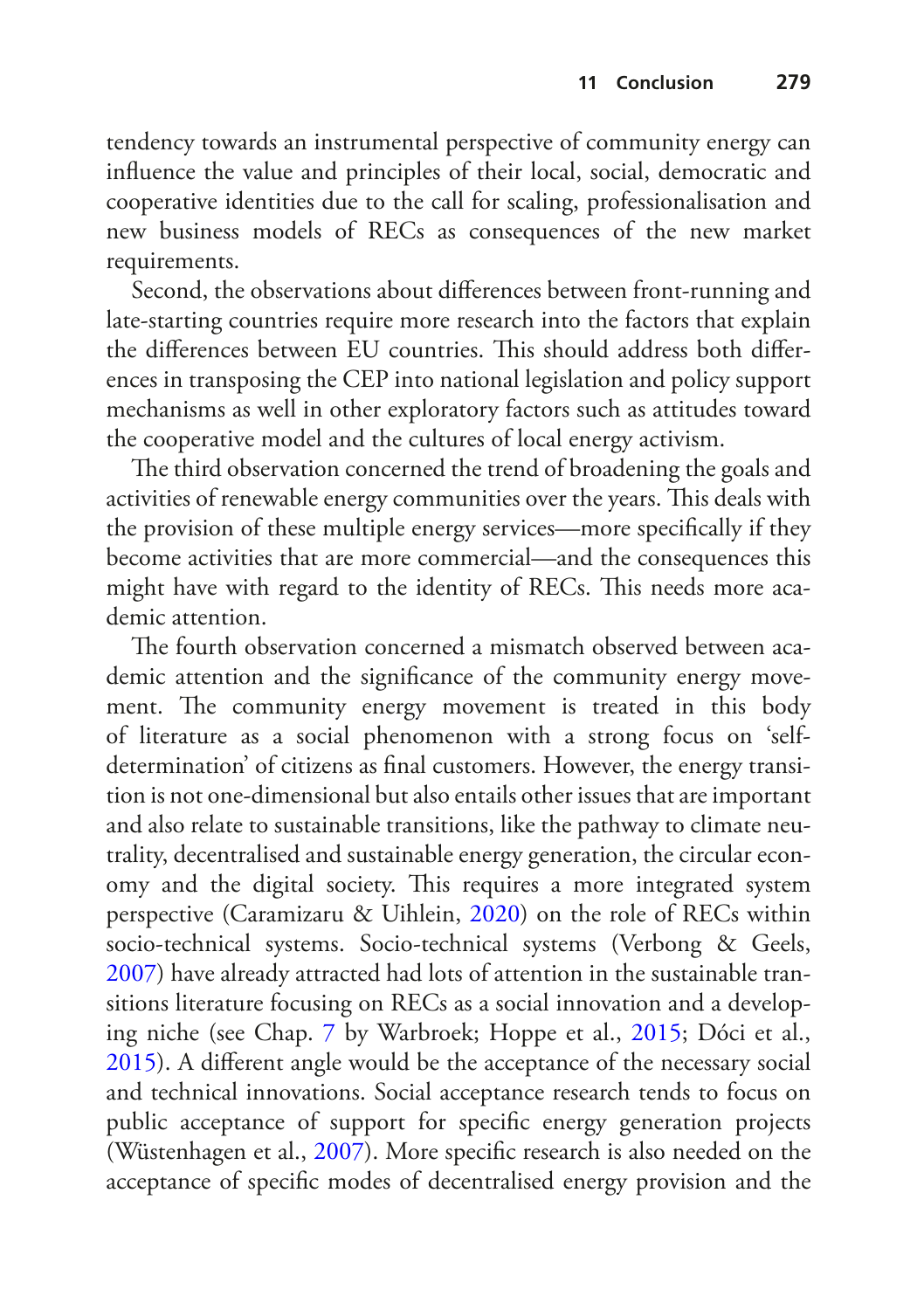tendency towards an instrumental perspective of community energy can infuence the value and principles of their local, social, democratic and cooperative identities due to the call for scaling, professionalisation and new business models of RECs as consequences of the new market requirements.

Second, the observations about diferences between front-running and late-starting countries require more research into the factors that explain the differences between EU countries. This should address both differences in transposing the CEP into national legislation and policy support mechanisms as well in other exploratory factors such as attitudes toward the cooperative model and the cultures of local energy activism.

The third observation concerned the trend of broadening the goals and activities of renewable energy communities over the years. This deals with the provision of these multiple energy services—more specifcally if they become activities that are more commercial—and the consequences this might have with regard to the identity of RECs. This needs more academic attention.

The fourth observation concerned a mismatch observed between academic attention and the signifcance of the community energy movement. The community energy movement is treated in this body of literature as a social phenomenon with a strong focus on 'selfdetermination' of citizens as fnal customers. However, the energy transition is not one-dimensional but also entails other issues that are important and also relate to sustainable transitions, like the pathway to climate neutrality, decentralised and sustainable energy generation, the circular economy and the digital society. This requires a more integrated system perspective (Caramizaru & Uihlein, [2020](#page-23-3)) on the role of RECs within socio-technical systems. Socio-technical systems (Verbong & Geels, [2007](#page-26-11)) have already attracted had lots of attention in the sustainable transitions literature focusing on RECs as a social innovation and a developing niche (see Chap. [7](https://doi.org/10.1007/978-3-030-84440-0_7) by Warbroek; Hoppe et al., [2015;](#page-24-3) Dóci et al., [2015](#page-24-10)). A diferent angle would be the acceptance of the necessary social and technical innovations. Social acceptance research tends to focus on public acceptance of support for specifc energy generation projects (Wüstenhagen et al., [2007](#page-27-2)). More specifc research is also needed on the acceptance of specifc modes of decentralised energy provision and the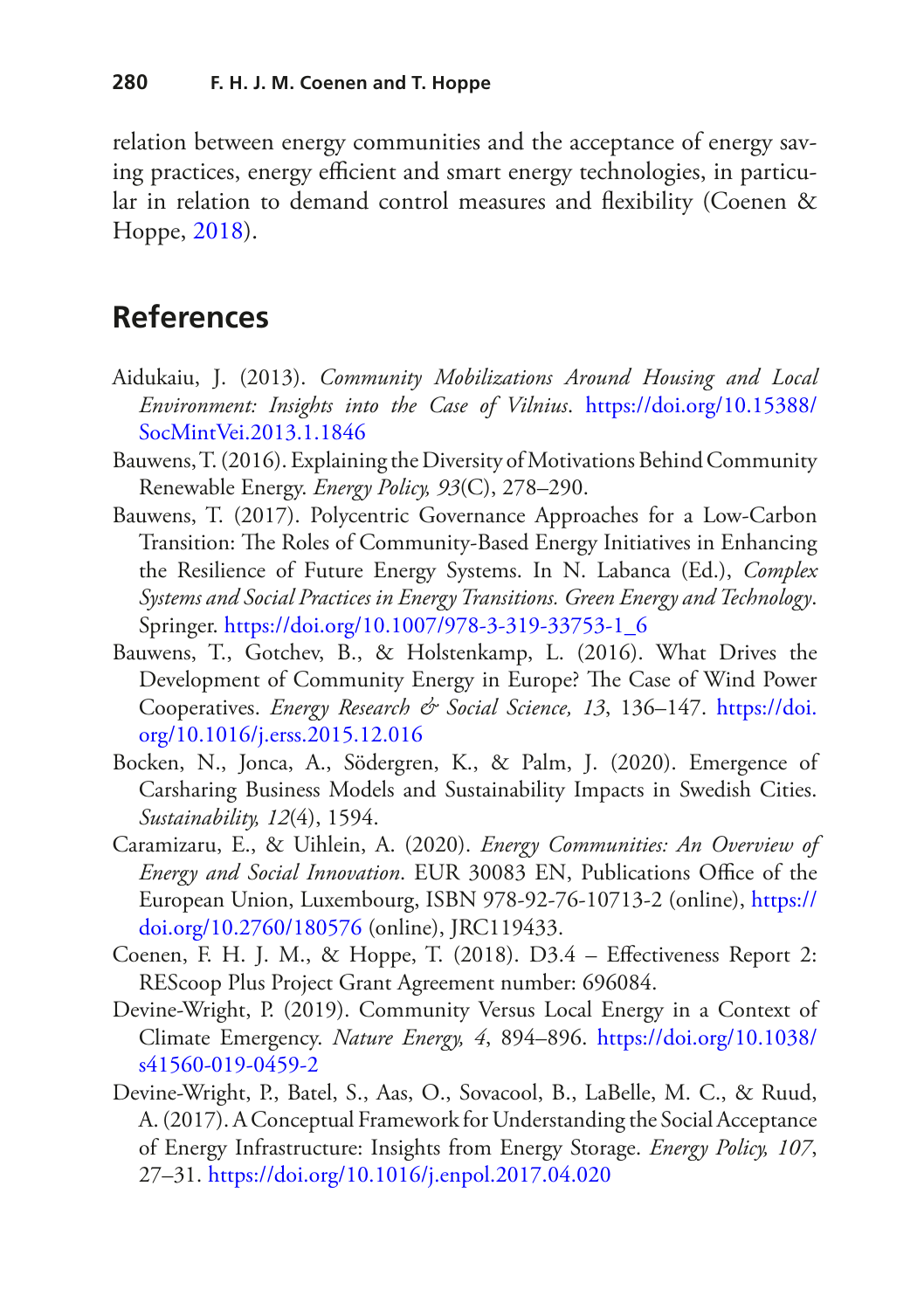relation between energy communities and the acceptance of energy saving practices, energy efficient and smart energy technologies, in particular in relation to demand control measures and fexibility (Coenen & Hoppe, [2018\)](#page-23-6).

#### **References**

- <span id="page-23-4"></span>Aidukaiu, J. (2013). *Community Mobilizations Around Housing and Local Environment: Insights into the Case of Vilnius*. [https://doi.org/10.15388/](https://doi.org/10.15388/SocMintVei.2013.1.1846) [SocMintVei.2013.1.1846](https://doi.org/10.15388/SocMintVei.2013.1.1846)
- <span id="page-23-2"></span>Bauwens, T. (2016). Explaining the Diversity of Motivations Behind Community Renewable Energy. *Energy Policy, 93*(C), 278–290.
- <span id="page-23-0"></span>Bauwens, T. (2017). Polycentric Governance Approaches for a Low-Carbon Transition: The Roles of Community-Based Energy Initiatives in Enhancing the Resilience of Future Energy Systems. In N. Labanca (Ed.), *Complex Systems and Social Practices in Energy Transitions. Green Energy and Technology*. Springer. [https://doi.org/10.1007/978-3-319-33753-1\\_6](https://doi.org/10.1007/978-3-319-33753-1_6)
- <span id="page-23-5"></span>Bauwens, T., Gotchev, B., & Holstenkamp, L. (2016). What Drives the Development of Community Energy in Europe? The Case of Wind Power Cooperatives. *Energy Research & Social Science, 13*, 136–147. [https://doi.](https://doi.org/10.1016/j.erss.2015.12.016) [org/10.1016/j.erss.2015.12.016](https://doi.org/10.1016/j.erss.2015.12.016)
- <span id="page-23-7"></span>Bocken, N., Jonca, A., Södergren, K., & Palm, J. (2020). Emergence of Carsharing Business Models and Sustainability Impacts in Swedish Cities. *Sustainability, 12*(4), 1594.
- <span id="page-23-3"></span>Caramizaru, E., & Uihlein, A. (2020). *Energy Communities: An Overview of Energy and Social Innovation*. EUR 30083 EN, Publications Office of the European Union, Luxembourg, ISBN 978-92-76-10713-2 (online), [https://](https://doi.org/10.2760/180576) [doi.org/10.2760/180576](https://doi.org/10.2760/180576) (online), JRC119433.
- <span id="page-23-6"></span>Coenen, F. H. J. M., & Hoppe, T. (2018). D3.4 – Efectiveness Report 2: REScoop Plus Project Grant Agreement number: 696084.
- <span id="page-23-8"></span>Devine-Wright, P. (2019). Community Versus Local Energy in a Context of Climate Emergency. *Nature Energy, 4*, 894–896. [https://doi.org/10.1038/](https://doi.org/10.1038/s41560-019-0459-2) [s41560-019-0459-2](https://doi.org/10.1038/s41560-019-0459-2)
- <span id="page-23-1"></span>Devine-Wright, P., Batel, S., Aas, O., Sovacool, B., LaBelle, M. C., & Ruud, A. (2017). A Conceptual Framework for Understanding the Social Acceptance of Energy Infrastructure: Insights from Energy Storage. *Energy Policy, 107*, 27–31. <https://doi.org/10.1016/j.enpol.2017.04.020>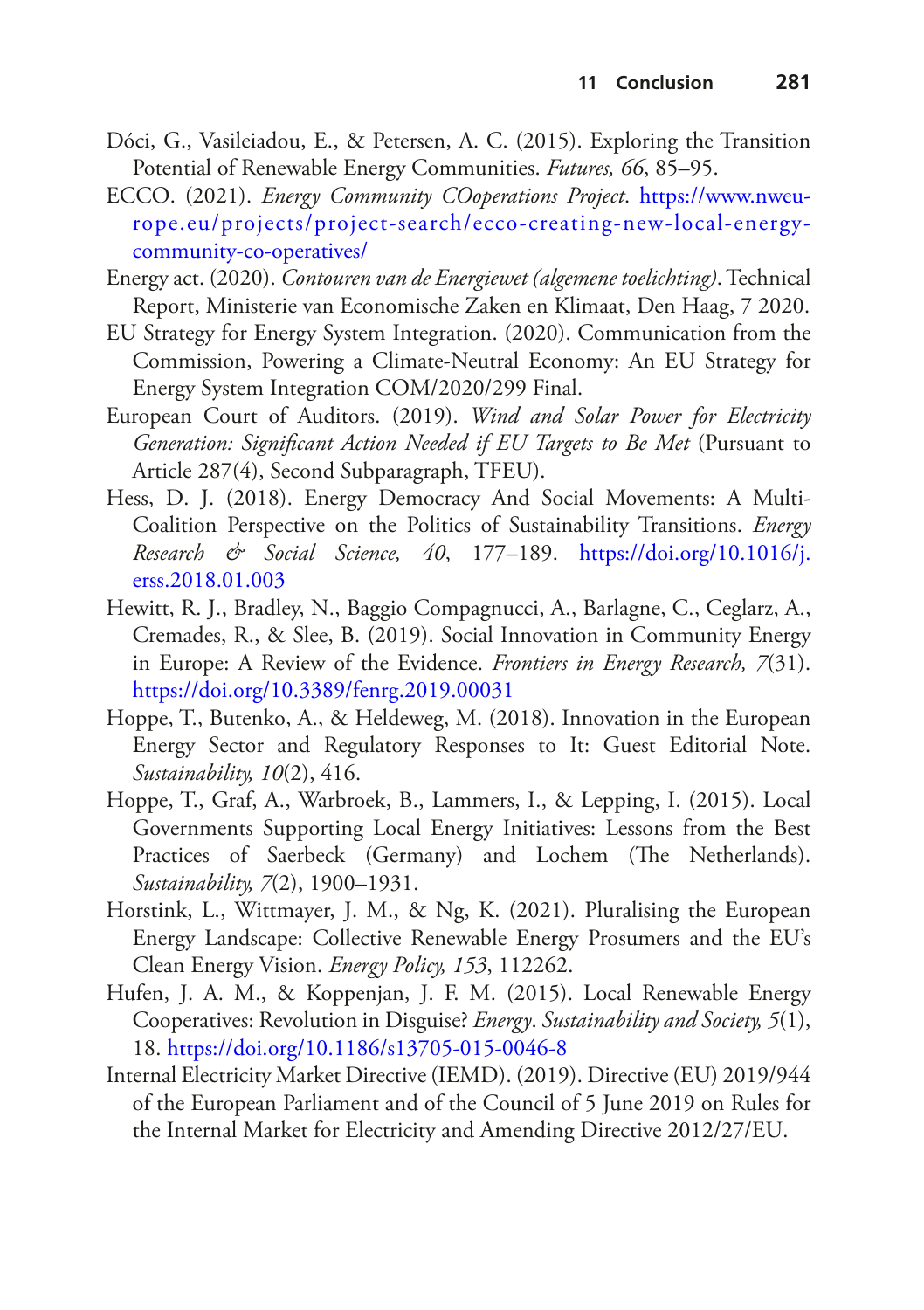- <span id="page-24-10"></span>Dóci, G., Vasileiadou, E., & Petersen, A. C. (2015). Exploring the Transition Potential of Renewable Energy Communities. *Futures, 66*, 85–95.
- <span id="page-24-7"></span>ECCO. (2021). *Energy Community COoperations Project*. [https://www.nweu](https://www.nweurope.eu/projects/project-search/ecco-creating-new-local-energy-community-co-operatives/)[rope.eu/projects/project-search/ecco-creating-new-local-energy](https://www.nweurope.eu/projects/project-search/ecco-creating-new-local-energy-community-co-operatives/)[community-co-operatives/](https://www.nweurope.eu/projects/project-search/ecco-creating-new-local-energy-community-co-operatives/)
- <span id="page-24-9"></span>Energy act. (2020). *Contouren van de Energiewet (algemene toelichting)*. Technical Report, Ministerie van Economische Zaken en Klimaat, Den Haag, 7 2020.
- <span id="page-24-0"></span>EU Strategy for Energy System Integration. (2020). Communication from the Commission, Powering a Climate-Neutral Economy: An EU Strategy for Energy System Integration COM/2020/299 Final.
- <span id="page-24-6"></span>European Court of Auditors. (2019). *Wind and Solar Power for Electricity Generation: Signifcant Action Needed if EU Targets to Be Met* (Pursuant to Article 287(4), Second Subparagraph, TFEU).
- <span id="page-24-1"></span>Hess, D. J. (2018). Energy Democracy And Social Movements: A Multi-Coalition Perspective on the Politics of Sustainability Transitions. *Energy Research & Social Science, 40*, 177–189. [https://doi.org/10.1016/j.](https://doi.org/10.1016/j.erss.2018.01.003) [erss.2018.01.003](https://doi.org/10.1016/j.erss.2018.01.003)
- <span id="page-24-2"></span>Hewitt, R. J., Bradley, N., Baggio Compagnucci, A., Barlagne, C., Ceglarz, A., Cremades, R., & Slee, B. (2019). Social Innovation in Community Energy in Europe: A Review of the Evidence. *Frontiers in Energy Research, 7*(31). <https://doi.org/10.3389/fenrg.2019.00031>
- <span id="page-24-8"></span>Hoppe, T., Butenko, A., & Heldeweg, M. (2018). Innovation in the European Energy Sector and Regulatory Responses to It: Guest Editorial Note. *Sustainability, 10*(2), 416.
- <span id="page-24-3"></span>Hoppe, T., Graf, A., Warbroek, B., Lammers, I., & Lepping, I. (2015). Local Governments Supporting Local Energy Initiatives: Lessons from the Best Practices of Saerbeck (Germany) and Lochem (The Netherlands). *Sustainability, 7*(2), 1900–1931.
- <span id="page-24-5"></span>Horstink, L., Wittmayer, J. M., & Ng, K. (2021). Pluralising the European Energy Landscape: Collective Renewable Energy Prosumers and the EU's Clean Energy Vision. *Energy Policy, 153*, 112262.
- <span id="page-24-4"></span>Hufen, J. A. M., & Koppenjan, J. F. M. (2015). Local Renewable Energy Cooperatives: Revolution in Disguise? *Energy*. *Sustainability and Society, 5*(1), 18. <https://doi.org/10.1186/s13705-015-0046-8>
- Internal Electricity Market Directive (IEMD). (2019). Directive (EU) 2019/944 of the European Parliament and of the Council of 5 June 2019 on Rules for the Internal Market for Electricity and Amending Directive 2012/27/EU.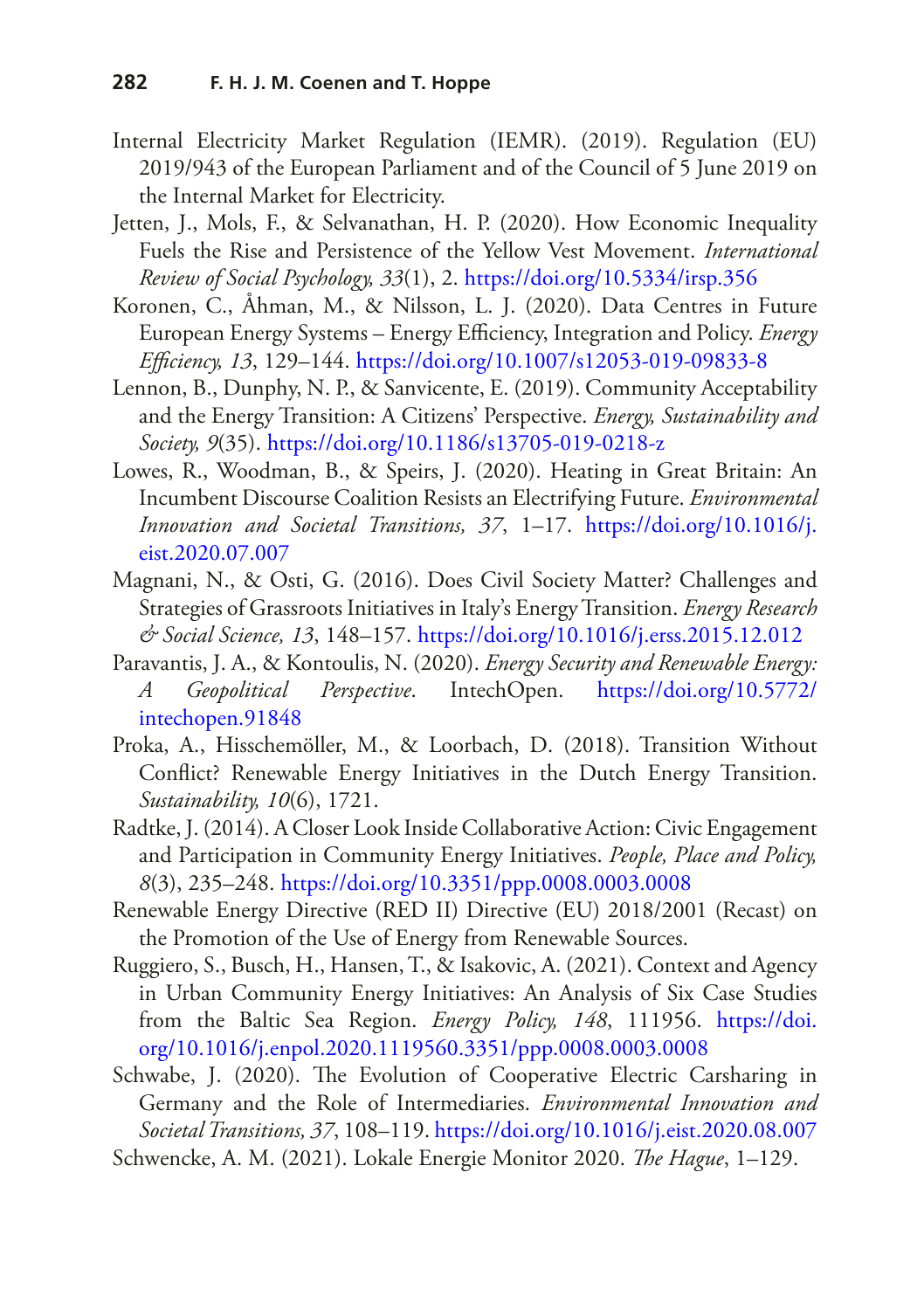- Internal Electricity Market Regulation (IEMR). (2019). Regulation (EU) 2019/943 of the European Parliament and of the Council of 5 June 2019 on the Internal Market for Electricity.
- <span id="page-25-0"></span>Jetten, J., Mols, F., & Selvanathan, H. P. (2020). How Economic Inequality Fuels the Rise and Persistence of the Yellow Vest Movement. *International Review of Social Psychology, 33*(1), 2.<https://doi.org/10.5334/irsp.356>
- <span id="page-25-10"></span>Koronen, C., Åhman, M., & Nilsson, L. J. (2020). Data Centres in Future European Energy Systems – Energy Efficiency, Integration and Policy. *Energy Efciency, 13*, 129–144. <https://doi.org/10.1007/s12053-019-09833-8>
- <span id="page-25-1"></span>Lennon, B., Dunphy, N. P., & Sanvicente, E. (2019). Community Acceptability and the Energy Transition: A Citizens' Perspective. *Energy, Sustainability and Society, 9*(35).<https://doi.org/10.1186/s13705-019-0218-z>
- <span id="page-25-6"></span>Lowes, R., Woodman, B., & Speirs, J. (2020). Heating in Great Britain: An Incumbent Discourse Coalition Resists an Electrifying Future. *Environmental Innovation and Societal Transitions, 37*, 1–17. [https://doi.org/10.1016/j.](https://doi.org/10.1016/j.eist.2020.07.007) [eist.2020.07.007](https://doi.org/10.1016/j.eist.2020.07.007)
- <span id="page-25-4"></span>Magnani, N., & Osti, G. (2016). Does Civil Society Matter? Challenges and Strategies of Grassroots Initiatives in Italy's Energy Transition. *Energy Research & Social Science, 13*, 148–157. <https://doi.org/10.1016/j.erss.2015.12.012>
- <span id="page-25-2"></span>Paravantis, J. A., & Kontoulis, N. (2020). *Energy Security and Renewable Energy: A Geopolitical Perspective*. IntechOpen. [https://doi.org/10.5772/](https://doi.org/10.5772/intechopen.91848) [intechopen.91848](https://doi.org/10.5772/intechopen.91848)
- <span id="page-25-5"></span>Proka, A., Hisschemöller, M., & Loorbach, D. (2018). Transition Without Confict? Renewable Energy Initiatives in the Dutch Energy Transition. *Sustainability, 10*(6), 1721.
- <span id="page-25-3"></span>Radtke, J. (2014). A Closer Look Inside Collaborative Action: Civic Engagement and Participation in Community Energy Initiatives. *People, Place and Policy, 8*(3), 235–248.<https://doi.org/10.3351/ppp.0008.0003.0008>
- Renewable Energy Directive (RED II) Directive (EU) 2018/2001 (Recast) on the Promotion of the Use of Energy from Renewable Sources.
- <span id="page-25-8"></span>Ruggiero, S., Busch, H., Hansen, T., & Isakovic, A. (2021). Context and Agency in Urban Community Energy Initiatives: An Analysis of Six Case Studies from the Baltic Sea Region. *Energy Policy, 148*, 111956. [https://doi.](https://doi.org/10.1016/j.enpol.2020.1119560.3351/ppp.0008.0003.0008) [org/10.1016/j.enpol.2020.1119560.3351/ppp.0008.0003.0008](https://doi.org/10.1016/j.enpol.2020.1119560.3351/ppp.0008.0003.0008)
- <span id="page-25-7"></span>Schwabe, J. (2020). The Evolution of Cooperative Electric Carsharing in Germany and the Role of Intermediaries. *Environmental Innovation and Societal Transitions, 37*, 108–119.<https://doi.org/10.1016/j.eist.2020.08.007>
- <span id="page-25-9"></span>Schwencke, A. M. (2021). Lokale Energie Monitor 2020. *The Hague*, 1-129.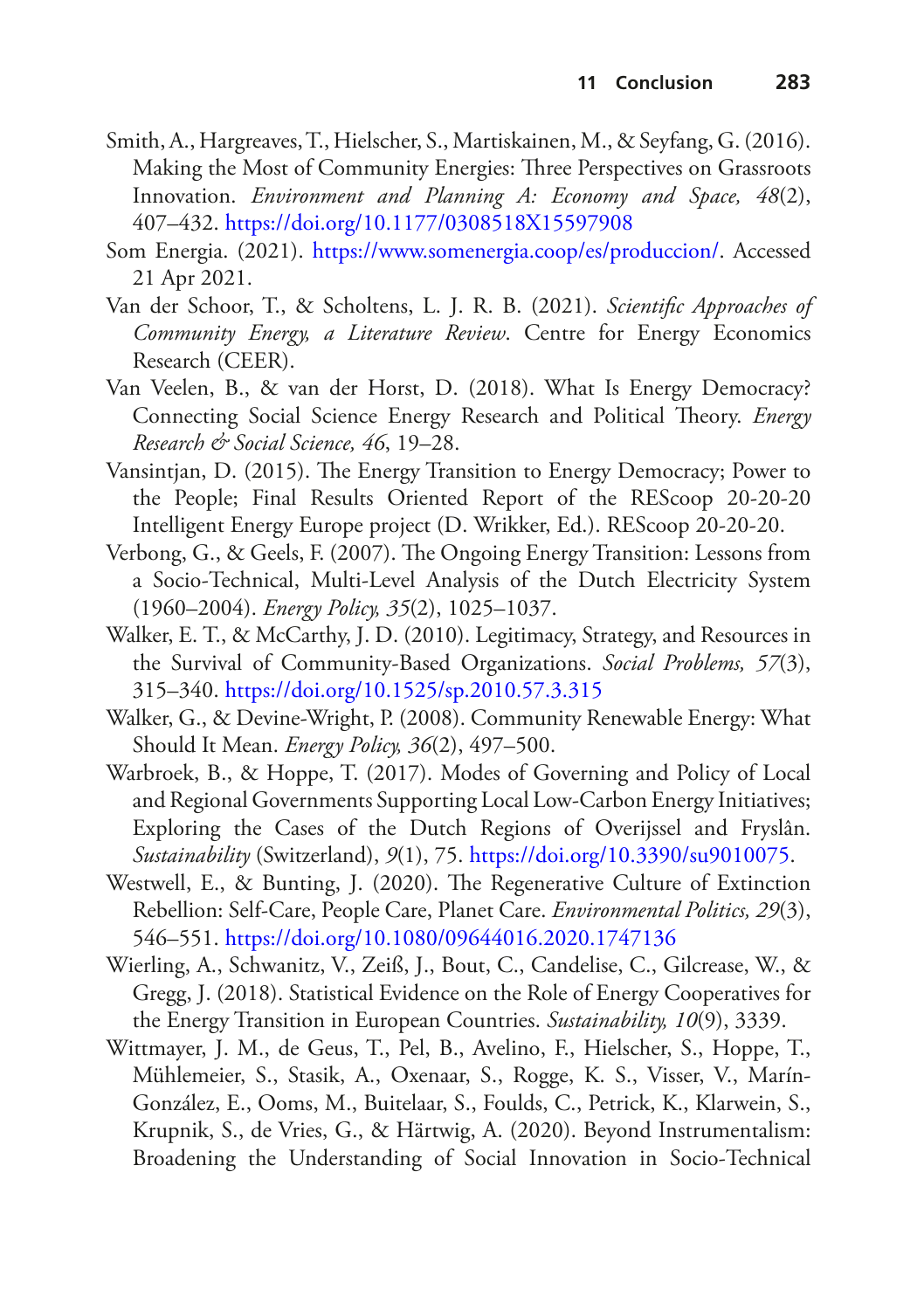- <span id="page-26-0"></span>Smith, A., Hargreaves, T., Hielscher, S., Martiskainen, M., & Seyfang, G. (2016). Making the Most of Community Energies: Three Perspectives on Grassroots Innovation. *Environment and Planning A: Economy and Space, 48*(2), 407–432.<https://doi.org/10.1177/0308518X15597908>
- <span id="page-26-10"></span>Som Energia. (2021). [https://www.somenergia.coop/es/produccion/.](https://www.somenergia.coop/es/produccion/) Accessed 21 Apr 2021.
- <span id="page-26-7"></span>Van der Schoor, T., & Scholtens, L. J. R. B. (2021). *Scientifc Approaches of Community Energy, a Literature Review*. Centre for Energy Economics Research (CEER).
- <span id="page-26-3"></span>Van Veelen, B., & van der Horst, D. (2018). What Is Energy Democracy? Connecting Social Science Energy Research and Political Theory. *Energy Research & Social Science, 46*, 19–28.
- <span id="page-26-9"></span>Vansintjan, D. (2015). The Energy Transition to Energy Democracy; Power to the People; Final Results Oriented Report of the REScoop 20-20-20 Intelligent Energy Europe project (D. Wrikker, Ed.). REScoop 20-20-20.
- <span id="page-26-11"></span>Verbong, G., & Geels, F. (2007). The Ongoing Energy Transition: Lessons from a Socio-Technical, Multi-Level Analysis of the Dutch Electricity System (1960–2004). *Energy Policy, 35*(2), 1025–1037.
- <span id="page-26-6"></span>Walker, E. T., & McCarthy, J. D. (2010). Legitimacy, Strategy, and Resources in the Survival of Community-Based Organizations. *Social Problems, 57*(3), 315–340.<https://doi.org/10.1525/sp.2010.57.3.315>
- <span id="page-26-5"></span>Walker, G., & Devine-Wright, P. (2008). Community Renewable Energy: What Should It Mean. *Energy Policy, 36*(2), 497–500.
- <span id="page-26-4"></span>Warbroek, B., & Hoppe, T. (2017). Modes of Governing and Policy of Local and Regional Governments Supporting Local Low-Carbon Energy Initiatives; Exploring the Cases of the Dutch Regions of Overijssel and Fryslân. *Sustainability* (Switzerland), *9*(1), 75. [https://doi.org/10.3390/su9010075.](https://doi.org/10.3390/su9010075)
- <span id="page-26-1"></span>Westwell, E., & Bunting, J. (2020). The Regenerative Culture of Extinction Rebellion: Self-Care, People Care, Planet Care. *Environmental Politics, 29*(3), 546–551.<https://doi.org/10.1080/09644016.2020.1747136>
- <span id="page-26-8"></span>Wierling, A., Schwanitz, V., Zeiß, J., Bout, C., Candelise, C., Gilcrease, W., & Gregg, J. (2018). Statistical Evidence on the Role of Energy Cooperatives for the Energy Transition in European Countries. *Sustainability, 10*(9), 3339.
- <span id="page-26-2"></span>Wittmayer, J. M., de Geus, T., Pel, B., Avelino, F., Hielscher, S., Hoppe, T., Mühlemeier, S., Stasik, A., Oxenaar, S., Rogge, K. S., Visser, V., Marín-González, E., Ooms, M., Buitelaar, S., Foulds, C., Petrick, K., Klarwein, S., Krupnik, S., de Vries, G., & Härtwig, A. (2020). Beyond Instrumentalism: Broadening the Understanding of Social Innovation in Socio-Technical